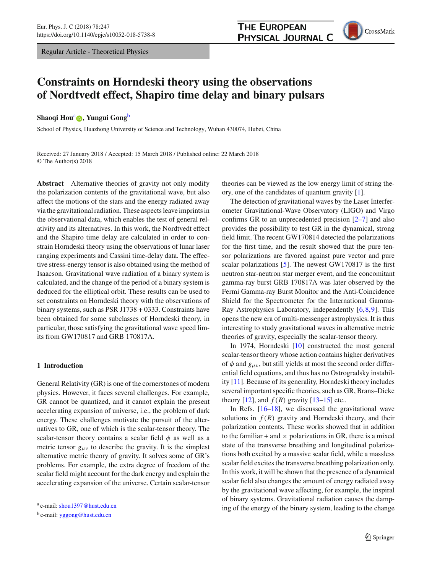Regular Article - Theoretical Physics

# **THE EUROPEAN PHYSICAL JOURNAL C**

CrossMark

# **Constraints on Horndeski theory using the observations of Nordtvedt effect, Shapiro time delay and binary pulsars**

## **Shaoqi Hou<sup>a</sup> <b>D**[,](http://orcid.org/0000-0003-4387-6013) Yungui Gong<sup>b</sup>

School of Physics, Huazhong University of Science and Technology, Wuhan 430074, Hubei, China

Received: 27 January 2018 / Accepted: 15 March 2018 / Published online: 22 March 2018 © The Author(s) 2018

**Abstract** Alternative theories of gravity not only modify the polarization contents of the gravitational wave, but also affect the motions of the stars and the energy radiated away via the gravitational radiation. These aspects leave imprints in the observational data, which enables the test of general relativity and its alternatives. In this work, the Nordtvedt effect and the Shapiro time delay are calculated in order to constrain Horndeski theory using the observations of lunar laser ranging experiments and Cassini time-delay data. The effective stress-energy tensor is also obtained using the method of Isaacson. Gravitational wave radiation of a binary system is calculated, and the change of the period of a binary system is deduced for the elliptical orbit. These results can be used to set constraints on Horndeski theory with the observations of binary systems, such as PSR J1738 + 0333. Constraints have been obtained for some subclasses of Horndeski theory, in particular, those satisfying the gravitational wave speed limits from GW170817 and GRB 170817A.

#### **1 Introduction**

General Relativity (GR) is one of the cornerstones of modern physics. However, it faces several challenges. For example, GR cannot be quantized, and it cannot explain the present accelerating expansion of universe, i.e., the problem of dark energy. These challenges motivate the pursuit of the alternatives to GR, one of which is the scalar-tensor theory. The scalar-tensor theory contains a scalar field  $\phi$  as well as a metric tensor  $g_{\mu\nu}$  to describe the gravity. It is the simplest alternative metric theory of gravity. It solves some of GR's problems. For example, the extra degree of freedom of the scalar field might account for the dark energy and explain the accelerating expansion of the universe. Certain scalar-tensor theories can be viewed as the low energy limit of string theory, one of the candidates of quantum gravity [\[1\]](#page-14-0).

The detection of gravitational waves by the Laser Interferometer Gravitational-Wave Observatory (LIGO) and Virgo confirms GR to an unprecedented precision [\[2](#page-14-1)[–7](#page-14-2)] and also provides the possibility to test GR in the dynamical, strong field limit. The recent GW170814 detected the polarizations for the first time, and the result showed that the pure tensor polarizations are favored against pure vector and pure scalar polarizations [\[5\]](#page-14-3). The newest GW170817 is the first neutron star-neutron star merger event, and the concomitant gamma-ray burst GRB 170817A was later observed by the Fermi Gamma-ray Burst Monitor and the Anti-Coincidence Shield for the Spectrometer for the International Gamma-Ray Astrophysics Laboratory, independently [\[6](#page-14-4),[8,](#page-14-5)[9\]](#page-14-6). This opens the new era of multi-messenger astrophysics. It is thus interesting to study gravitational waves in alternative metric theories of gravity, especially the scalar-tensor theory.

In 1974, Horndeski [\[10](#page-14-7)] constructed the most general scalar-tensor theory whose action contains higher derivatives of  $\phi$  and  $g_{\mu\nu}$ , but still yields at most the second order differential field equations, and thus has no Ostrogradsky instability [\[11\]](#page-14-8). Because of its generality, Horndeski theory includes several important specific theories, such as GR, Brans–Dicke theory [\[12](#page-14-9)], and  $f(R)$  gravity [\[13](#page-14-10)[–15\]](#page-14-11) etc..

In Refs.  $[16-18]$  $[16-18]$ , we discussed the gravitational wave solutions in  $f(R)$  gravity and Horndeski theory, and their polarization contents. These works showed that in addition to the familiar  $+$  and  $\times$  polarizations in GR, there is a mixed state of the transverse breathing and longitudinal polarizations both excited by a massive scalar field, while a massless scalar field excites the transverse breathing polarization only. In this work, it will be shown that the presence of a dynamical scalar field also changes the amount of energy radiated away by the gravitational wave affecting, for example, the inspiral of binary systems. Gravitational radiation causes the damping of the energy of the binary system, leading to the change

<sup>a</sup> e-mail: [shou1397@hust.edu.cn](mailto:shou1397@hust.edu.cn)

<sup>b</sup> e-mail: [yggong@hust.edu.cn](mailto:yggong@hust.edu.cn)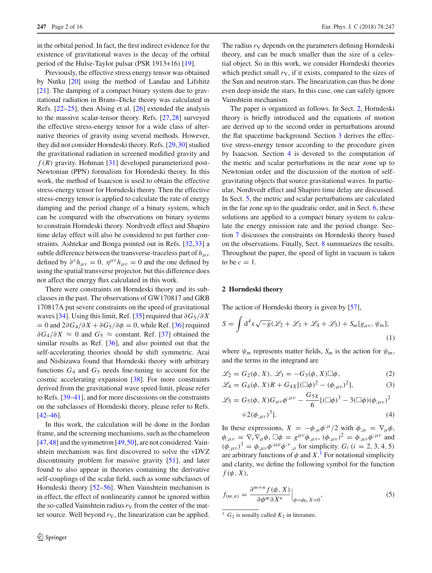in the orbital period. In fact, the first indirect evidence for the existence of gravitational waves is the decay of the orbital period of the Hulse-Taylor pulsar (PSR 1913+16) [\[19](#page-14-14)].

Previously, the effective stress energy tensor was obtained by Nutku [\[20\]](#page-14-15) using the method of Landau and Lifshitz [\[21](#page-14-16)]. The damping of a compact binary system due to gravitational radiation in Brans–Dicke theory was calculated in Refs. [\[22](#page-14-17)[–25\]](#page-14-18), then Alsing et al. [\[26](#page-14-19)] extended the analysis to the massive scalar-tensor theory. Refs. [\[27](#page-14-20)[,28\]](#page-14-21) surveyed the effective stress-energy tensor for a wide class of alternative theories of gravity using several methods. However, they did not consider Horndeski theory. Refs. [\[29](#page-14-22)[,30](#page-14-23)] studied the gravitational radiation in screened modified gravity and  $f(R)$  gravity. Hohman [\[31\]](#page-14-24) developed parameterized post-Newtonian (PPN) formalism for Horndeski theory. In this work, the method of Isaacson is used to obtain the effective stress-energy tensor for Horndeski theory. Then the effective stress-energy tensor is applied to calculate the rate of energy damping and the period change of a binary system, which can be compared with the observations on binary systems to constrain Horndeski theory. Nordtvedt effect and Shapiro time delay effect will also be considered to put further constraints. Ashtekar and Bonga pointed out in Refs. [\[32](#page-14-25),[33\]](#page-14-26) a subtle difference between the transverse-traceless part of  $h_{\mu\nu}$ defined by  $\partial^{\nu}h_{\mu\nu} = 0$ ,  $\eta^{\mu\nu}h_{\mu\nu} = 0$  and the one defined by using the spatial transverse projector, but this difference does not affect the energy flux calculated in this work.

There were constraints on Horndeski theory and its subclasses in the past. The observations of GW170817 and GRB 170817A put severe constraints on the speed of gravitational waves [\[34\]](#page-14-27). Using this limit, Ref. [\[35](#page-14-28)] required that ∂*G*5/∂ *X*  $= 0$  and  $2\partial G_4/\partial X + \partial G_5/\partial \phi = 0$ , while Ref. [\[36](#page-15-0)] required  $\partial G_4/\partial X \approx 0$  and  $G_5 \approx$  constant. Ref. [\[37](#page-15-1)] obtained the similar results as Ref. [\[36](#page-15-0)], and also pointed out that the self-accelerating theories should be shift symmetric. Arai and Nishizawa found that Horndeski theory with arbitrary functions  $G_4$  and  $G_5$  needs fine-tuning to account for the cosmic accelerating expansion [\[38](#page-15-2)]. For more constraints derived from the gravitational wave speed limit, please refer to Refs. [\[39](#page-15-3)[–41\]](#page-15-4), and for more discussions on the constraints on the subclasses of Horndeski theory, please refer to Refs. [\[42](#page-15-5)[–46](#page-15-6)].

In this work, the calculation will be done in the Jordan frame, and the screening mechanisms, such as the chameleon  $[47, 48]$  $[47, 48]$  $[47, 48]$  and the symmetron  $[49, 50]$  $[49, 50]$ , are not considered. Vainshtein mechanism was first discovered to solve the vDVZ discontinuity problem for massive gravity [\[51\]](#page-15-11), and later found to also appear in theories containing the derivative self-couplings of the scalar field, such as some subclasses of Horndeski theory [\[52](#page-15-12)[–56\]](#page-15-13). When Vainshtein mechanism is in effect, the effect of nonlinearity cannot be ignored within the so-called Vainshtein radius  $r_V$  from the center of the matter source. Well beyond  $r_V$ , the linearization can be applied.

The radius  $r_V$  depends on the parameters defining Horndeski theory, and can be much smaller than the size of a celestial object. So in this work, we consider Horndeski theories which predict small  $r<sub>V</sub>$ , if it exists, compared to the sizes of the Sun and neutron stars. The linearization can thus be done even deep inside the stars. In this case, one can safely ignore Vainshtein mechanism.

The paper is organized as follows. In Sect. [2,](#page-1-0) Horndeski theory is briefly introduced and the equations of motion are derived up to the second order in perturbations around the flat spacetime background. Section [3](#page-3-0) derives the effective stress-energy tensor according to the procedure given by Isaacson. Section [4](#page-4-0) is devoted to the computation of the metric and scalar perturbations in the near zone up to Newtonian order and the discussion of the motion of selfgravitating objects that source gravitational waves. In particular, Nordtvedt effect and Shapiro time delay are discussed. In Sect. [5,](#page-6-0) the metric and scalar perturbations are calculated in the far zone up to the quadratic order, and in Sect. [6,](#page-7-0) these solutions are applied to a compact binary system to calculate the energy emission rate and the period change. Section [7](#page-9-0) discusses the constraints on Horndeski theory based on the observations. Finally, Sect. [8](#page-11-0) summarizes the results. Throughout the paper, the speed of light in vacuum is taken to be  $c = 1$ .

#### <span id="page-1-0"></span>**2 Horndeski theory**

The action of Horndeski theory is given by [\[57\]](#page-15-14),

<span id="page-1-2"></span>
$$
S = \int d^4x \sqrt{-g}(\mathcal{L}_2 + \mathcal{L}_3 + \mathcal{L}_4 + \mathcal{L}_5) + S_m[g_{\mu\nu}, \psi_m],
$$
  
(1)

where  $\psi_m$  represents matter fields,  $S_m$  is the action for  $\psi_m$ , and the terms in the integrand are

$$
\mathcal{L}_2 = G_2(\phi, X), \ \mathcal{L}_3 = -G_3(\phi, X) \Box \phi, \tag{2}
$$

$$
\mathcal{L}_4 = G_4(\phi, X)R + G_{4X}[(\Box \phi)^2 - (\phi_{;\mu\nu})^2],\tag{3}
$$

$$
\mathcal{L}_5 = G_5(\phi, X)G_{\mu\nu}\phi^{;\mu\nu} - \frac{G_{5X}}{6}[(\Box\phi)^3 - 3(\Box\phi)(\phi_{;\mu\nu})^2 + 2(\phi_{;\mu\nu})^3].
$$
\n(4)

In these expressions,  $X = -\phi_{;\mu} \phi^{;\mu}/2$  with  $\phi_{;\mu} = \nabla_{\mu} \phi$ ,  $\phi_{;\mu\nu} = \nabla_{\nu} \nabla_{\mu} \phi$ ,  $\Box \phi = g^{\mu\nu} \phi_{;\mu\nu}$ ,  $(\phi_{;\mu\nu})^2 = \phi_{;\mu\nu} \phi^{;\mu\nu}$  and  $(\phi_{;\mu\nu})^3 = \phi_{;\mu\nu} \phi^{;\mu\rho} \phi^{;\nu}{}_{;\rho}$  for simplicity.  $G_i$  (*i* = 2, 3, 4, 5) are arbitrary functions of  $\phi$  and  $X$ .<sup>[1](#page-1-1)</sup> For notational simplicity and clarity, we define the following symbol for the function  $f(\phi, X)$ ,

$$
f_{(m,n)} = \frac{\partial^{m+n} f(\phi, X)}{\partial \phi^m \partial X^n} \Big|_{\phi = \phi_0, X = 0},
$$
\n(5)

<span id="page-1-1"></span><sup>1</sup>  $G_2$  is usually called  $K_2$  in literature.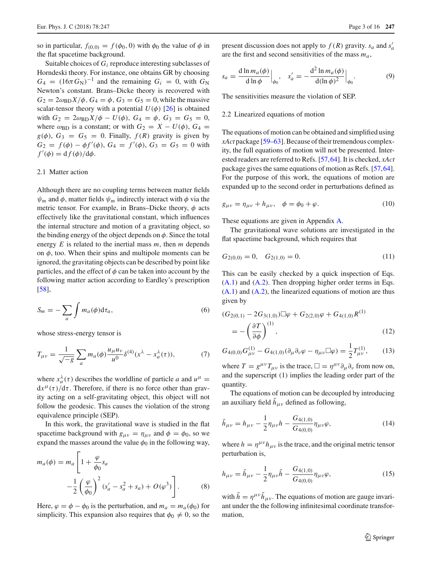so in particular,  $f_{(0,0)} = f(\phi_0, 0)$  with  $\phi_0$  the value of  $\phi$  in the flat spacetime background.

Suitable choices of *Gi* reproduce interesting subclasses of Horndeski theory. For instance, one obtains GR by choosing  $G_4 = (16\pi G_{\rm N})^{-1}$  and the remaining  $G_i = 0$ , with  $G_{\rm N}$ Newton's constant. Brans–Dicke theory is recovered with  $G_2 = 2\omega_{BD}X/\phi$ ,  $G_4 = \phi$ ,  $G_3 = G_5 = 0$ , while the massive scalar-tensor theory with a potential  $U(\phi)$  [\[26](#page-14-19)] is obtained with  $G_2 = 2\omega_{BD}X/\phi - U(\phi)$ ,  $G_4 = \phi$ ,  $G_3 = G_5 = 0$ , where  $\omega_{BD}$  is a constant; or with  $G_2 = X - U(\phi)$ ,  $G_4 =$  $g(\phi)$ ,  $G_3 = G_5 = 0$ . Finally,  $f(R)$  gravity is given by  $G_2 = f(\phi) - \phi f'(\phi)$ ,  $G_4 = f'(\phi)$ ,  $G_3 = G_5 = 0$  with  $f'(\phi) = \frac{df(\phi)}{d\phi}.$ 

## 2.1 Matter action

Although there are no coupling terms between matter fields  $\psi_m$  and  $\phi$ , matter fields  $\psi_m$  indirectly interact with  $\phi$  via the metric tensor. For example, in Brans–Dicke theory,  $\phi$  acts effectively like the gravitational constant, which influences the internal structure and motion of a gravitating object, so the binding energy of the object depends on  $\phi$ . Since the total energy  $E$  is related to the inertial mass  $m$ , then  $m$  depends on  $\phi$ , too. When their spins and multipole moments can be ignored, the gravitating objects can be described by point like particles, and the effect of  $\phi$  can be taken into account by the following matter action according to Eardley's prescription [\[58](#page-15-15)],

<span id="page-2-1"></span>
$$
S_m = -\sum_{a} \int m_a(\phi) d\tau_a, \tag{6}
$$

whose stress-energy tensor is

 $\blacksquare$ 

$$
T_{\mu\nu} = \frac{1}{\sqrt{-g}} \sum_{a} m_a(\phi) \frac{u_{\mu} u_{\nu}}{u^0} \delta^{(4)}(x^{\lambda} - x_a^{\lambda}(\tau)),
$$
 (7)

where  $x_a^{\lambda}(\tau)$  describes the worldline of particle *a* and  $u^{\mu} =$  $dx^{\mu}(\tau)/d\tau$ . Therefore, if there is no force other than gravity acting on a self-gravitating object, this object will not follow the geodesic. This causes the violation of the strong equivalence principle (SEP).

In this work, the gravitational wave is studied in the flat spacetime background with  $g_{\mu\nu} = \eta_{\mu\nu}$  and  $\phi = \phi_0$ , so we expand the masses around the value  $\phi_0$  in the following way,

$$
m_a(\phi) = m_a \left[ 1 + \frac{\varphi}{\phi_0} s_a - \frac{1}{2} \left( \frac{\varphi}{\phi_0} \right)^2 (s_a' - s_a^2 + s_a) + O(\varphi^3) \right].
$$
 (8)

Here,  $\varphi = \phi - \phi_0$  is the perturbation, and  $m_a = m_a(\phi_0)$  for simplicity. This expansion also requires that  $\phi_0 \neq 0$ , so the

present discussion does not apply to  $f(R)$  gravity.  $s_a$  and  $s'_a$ are the first and second sensitivities of the mass *ma*,

$$
s_a = \frac{d \ln m_a(\phi)}{d \ln \phi} \Big|_{\phi_0}, \quad s'_a = -\frac{d^2 \ln m_a(\phi)}{d(\ln \phi)^2} \Big|_{\phi_0}.
$$
 (9)

The sensitivities measure the violation of SEP.

#### 2.2 Linearized equations of motion

The equations of motion can be obtained and simplified using *xAct* package [\[59](#page-15-16)[–63\]](#page-15-17). Because of their tremendous complexity, the full equations of motion will not be presented. Interested readers are referred to Refs. [\[57](#page-15-14)[,64](#page-15-18)]. It is checked, *xAct* package gives the same equations of motion as Refs. [\[57](#page-15-14)[,64](#page-15-18)]. For the purpose of this work, the equations of motion are expanded up to the second order in perturbations defined as

$$
g_{\mu\nu} = \eta_{\mu\nu} + h_{\mu\nu}, \quad \phi = \phi_0 + \varphi. \tag{10}
$$

These equations are given in Appendix [A.](#page-11-1)

The gravitational wave solutions are investigated in the flat spacetime background, which requires that

$$
G_{2(0,0)} = 0, \quad G_{2(1,0)} = 0.
$$
\n(11)

This can be easily checked by a quick inspection of Eqs. [\(A.1\)](#page-11-2) and [\(A.2\)](#page-12-0). Then dropping higher order terms in Eqs.  $(A.1)$  and  $(A.2)$ , the linearized equations of motion are thus given by

$$
(G_{2(0,1)} - 2G_{3(1,0)})\Box\varphi + G_{2(2,0)}\varphi + G_{4(1,0)}R^{(1)}
$$
  
= 
$$
-\left(\frac{\partial T}{\partial \phi}\right)^{(1)},
$$
 (12)

$$
G_{4(0,0)}G_{\mu\nu}^{(1)} - G_{4(1,0)}(\partial_{\mu}\partial_{\nu}\varphi - \eta_{\mu\nu}\Box\varphi) = \frac{1}{2}T_{\mu\nu}^{(1)},\qquad(13)
$$

where  $T = g^{\mu\nu} T_{\mu\nu}$  is the trace,  $\Box = \eta^{\mu\nu} \partial_{\mu} \partial_{\nu}$  from now on, and the superscript (1) implies the leading order part of the quantity.

The equations of motion can be decoupled by introducing an auxiliary field  $h_{\mu\nu}$  defined as following,

$$
\tilde{h}_{\mu\nu} = h_{\mu\nu} - \frac{1}{2} \eta_{\mu\nu} h - \frac{G_{4(1,0)}}{G_{4(0,0)}} \eta_{\mu\nu} \varphi, \tag{14}
$$

<span id="page-2-2"></span>where  $h = \eta^{\mu\nu} h_{\mu\nu}$  is the trace, and the original metric tensor perturbation is,

$$
h_{\mu\nu} = \tilde{h}_{\mu\nu} - \frac{1}{2} \eta_{\mu\nu} \tilde{h} - \frac{G_{4(1,0)}}{G_{4(0,0)}} \eta_{\mu\nu} \varphi,
$$
 (15)

<span id="page-2-0"></span>with  $\tilde{h} = \eta^{\mu\nu} \tilde{h}_{\mu\nu}$ . The equations of motion are gauge invariant under the the following infinitesimal coordinate transformation,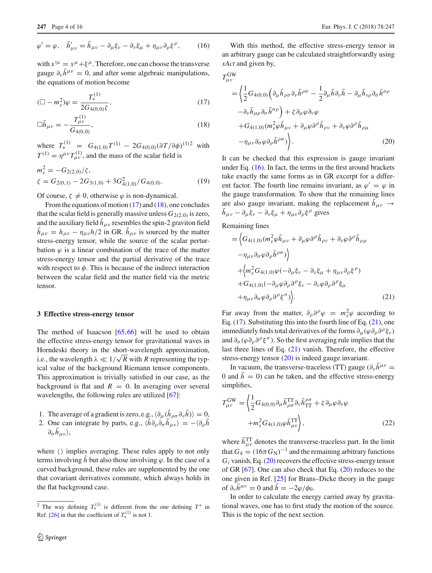$$
\varphi' = \varphi, \quad \tilde{h}'_{\mu\nu} = \tilde{h}_{\mu\nu} - \partial_{\mu}\xi_{\nu} - \partial_{\nu}\xi_{\mu} + \eta_{\mu\nu}\partial_{\rho}\xi^{\rho}, \tag{16}
$$

with  $x^{\mu} = x^{\mu} + \xi^{\mu}$ . Therefore, one can choose the transverse gauge  $\partial_{\nu} \tilde{h}^{\mu\nu} = 0$ , and after some algebraic manipulations, the equations of motion become

<span id="page-3-2"></span>
$$
(\Box - m_s^2)\varphi = \frac{T_*^{(1)}}{2G_{4(0,0)}\zeta},\tag{17}
$$

$$
\Box \tilde{h}_{\mu\nu} = -\frac{T^{(1)}_{\mu\nu}}{G_{4(0,0)}},\tag{18}
$$

where  $T_*^{(1)} = G_{4(1,0)}T^{(1)} - 2G_{4(0,0)}(\partial T/\partial \phi)^{(1)2}$  $T_*^{(1)} = G_{4(1,0)}T^{(1)} - 2G_{4(0,0)}(\partial T/\partial \phi)^{(1)2}$  $T_*^{(1)} = G_{4(1,0)}T^{(1)} - 2G_{4(0,0)}(\partial T/\partial \phi)^{(1)2}$  with  $T^{(1)} = \eta^{\mu\nu} T^{(1)}_{\mu\nu}$ , and the mass of the scalar field is

<span id="page-3-6"></span>
$$
m_s^2 = -G_{2(2,0)}/\zeta,
$$
  
\n
$$
\zeta = G_{2(0,1)} - 2G_{3(1,0)} + 3G_{4(1,0)}/G_{4(0,0)}.
$$
\n(19)

Of course,  $\zeta \neq 0$ , otherwise  $\varphi$  is non-dynamical.

From the equations of motion [\(17\)](#page-3-2) and [\(18\)](#page-3-2), one concludes that the scalar field is generally massive unless  $G_{2(2,0)}$  is zero, and the auxiliary field  $h_{\mu\nu}$  resembles the spin-2 graviton field  $\bar{h}_{\mu\nu} = h_{\mu\nu} - \eta_{\mu\nu}h/2$  in GR.  $\bar{h}_{\mu\nu}$  is sourced by the matter stress-energy tensor, while the source of the scalar perturbation  $\varphi$  is a linear combination of the trace of the matter stress-energy tensor and the partial derivative of the trace with respect to  $\phi$ . This is because of the indirect interaction between the scalar field and the matter field via the metric tensor.

#### <span id="page-3-0"></span>**3 Effective stress-energy tensor**

The method of Isaacson  $[65, 66]$  $[65, 66]$  will be used to obtain the effective stress-energy tensor for gravitational waves in Horndeski theory in the short-wavelength approximation, i.e., the wavelength  $\lambda \ll 1/\sqrt{R}$  with *R* representing the typical value of the background Riemann tensor components. This approximation is trivially satisfied in our case, as the background is flat and  $R = 0$ . In averaging over several wavelengths, the following rules are utilized [\[67](#page-15-21)]:

- 1. The average of a gradient is zero, e.g.,  $\langle \partial_\mu (h_{\rho\sigma} \partial_\nu h) \rangle = 0$ ,
- 2. One can integrate by parts, e.g.,  $\langle h \partial_{\rho} \partial_{\sigma} h_{\mu\nu} \rangle = -\langle \partial_{\rho} h \rangle$  $\partial_{\sigma}h_{\mu\nu}\rangle,$

where  $\langle \rangle$  implies averaging. These rules apply to not only terms involving  $h$  but also those involving  $\varphi$ . In the case of a curved background, these rules are supplemented by the one that covariant derivatives commute, which always holds in the flat background case.

With this method, the effective stress-energy tensor in an arbitrary gauge can be calculated straightforwardly using *xAct* and given by,

<span id="page-3-4"></span> $T_{\mu\nu}^{\rm GW}$ 

$$
= \left\langle \frac{1}{2} G_{4(0,0)} \left( \partial_{\mu} \tilde{h}_{\rho \sigma} \partial_{\nu} \tilde{h}^{\rho \sigma} - \frac{1}{2} \partial_{\mu} \tilde{h} \partial_{\nu} \tilde{h} - \partial_{\mu} \tilde{h}_{\nu \rho} \partial_{\sigma} \tilde{h}^{\sigma \rho} \right. \right. \\ \left. - \partial_{\nu} \tilde{h}_{\mu \rho} \partial_{\sigma} \tilde{h}^{\sigma \rho} \right) + \zeta \partial_{\mu} \varphi \partial_{\nu} \varphi + G_{4(1,0)} (m_s^2 \varphi \tilde{h}_{\mu \nu} + \partial_{\mu} \varphi \partial^{\rho} \tilde{h}_{\rho \nu} + \partial_{\nu} \varphi \partial^{\rho} \tilde{h}_{\rho \mu} - \eta_{\mu \nu} \partial_{\sigma} \varphi \partial_{\rho} \tilde{h}^{\rho \sigma} ) \right). \tag{20}
$$

It can be checked that this expression is gauge invariant under Eq. [\(16\)](#page-2-0). In fact, the terms in the first around brackets take exactly the same forms as in GR excerpt for a different factor. The fourth line remains invariant, as  $\varphi' = \varphi$  in the gauge transformation. To show that the remaining lines are also gauge invariant, making the replacement  $h_{\mu\nu} \rightarrow$  $\tilde{h}_{\mu\nu} - \partial_{\mu}\xi_{\nu} - \partial_{\nu}\xi_{\mu} + \eta_{\mu\nu}\partial_{\rho}\xi^{\rho}$  gives

<span id="page-3-3"></span>Remaining lines

$$
= \left\langle G_{4(1,0)}(m_s^2 \varphi \tilde{h}_{\mu\nu} + \partial_{\mu} \varphi \partial^{\rho} \tilde{h}_{\rho\nu} + \partial_{\nu} \varphi \partial^{\rho} \tilde{h}_{\rho\mu} \right. \n- \eta_{\mu\nu} \partial_{\sigma} \varphi \partial_{\rho} \tilde{h}^{\rho\sigma} \rangle \right\rangle \n+ \left\langle m_s^2 G_{4(1,0)} \varphi (-\partial_{\mu} \xi_{\nu} - \partial_{\nu} \xi_{\mu} + \eta_{\mu\nu} \partial_{\rho} \xi^{\rho}) \right. \n+ G_{4(1,0)} (-\partial_{\mu} \varphi \partial_{\rho} \partial^{\rho} \xi_{\nu} - \partial_{\nu} \varphi \partial_{\rho} \partial^{\rho} \xi_{\mu} \n+ \eta_{\mu\nu} \partial_{\sigma} \varphi \partial_{\rho} \partial^{\rho} \xi^{\sigma} ) \right\rangle.
$$
\n(21)

Far away from the matter,  $\partial_{\rho} \partial^{\rho} \varphi = m_s^2 \varphi$  according to Eq.  $(17)$ . Substituting this into the fourth line of Eq.  $(21)$ , one immediately finds total derivatives of the forms  $\partial_{\mu}(\varphi \partial_{\rho} \partial^{\rho} \xi_{\nu})$ and  $\partial_{\sigma}(\varphi \partial_{\rho} \partial^{\rho} \xi^{\sigma})$ . So the first averaging rule implies that the last three lines of Eq. [\(21\)](#page-3-3) vanish. Therefore, the effective stress-energy tensor [\(20\)](#page-3-4) is indeed gauge invariant.

In vacuum, the transverse-traceless (TT) gauge ( $\partial_{\nu} \tilde{h}^{\mu\nu}$  = 0 and  $\tilde{h} = 0$  can be taken, and the effective stress-energy simplifies,

<span id="page-3-5"></span>
$$
T^{\text{GW}}_{\mu\nu} = \left\langle \frac{1}{2} G_{4(0,0)} \partial_{\mu} \tilde{h}^{\text{TT}}_{\rho\sigma} \partial_{\nu} \tilde{h}^{\rho\sigma}_{\text{TT}} + \zeta \partial_{\mu} \varphi \partial_{\nu} \varphi \right. \\
\left. + m_s^2 G_{4(1,0)} \varphi \tilde{h}^{\text{TT}}_{\mu\nu} \right\rangle, \tag{22}
$$

where  $\tilde{h}_{\mu\nu}^{\text{TT}}$  denotes the transverse-traceless part. In the limit that  $G_4 = (16\pi G_N)^{-1}$  and the remaining arbitrary functions  $G_i$  vanish, Eq.  $(20)$  recovers the effective stress-energy tensor of GR [\[67\]](#page-15-21). One can also check that Eq. [\(20\)](#page-3-4) reduces to the one given in Ref. [\[25](#page-14-18)] for Brans–Dicke theory in the gauge of  $\partial_{\nu} \tilde{h}^{\mu\nu} = 0$  and  $\tilde{h} = -2\varphi/\phi_0$ .

In order to calculate the energy carried away by gravitational waves, one has to first study the motion of the source. This is the topic of the next section.

<span id="page-3-1"></span><sup>&</sup>lt;sup>2</sup> The way defining  $T_*^{(1)}$  is different from the one defining  $T^*$  in Ref. [\[26\]](#page-14-19) in that the coefficient of  $T_{*}^{(1)}$  is not 1.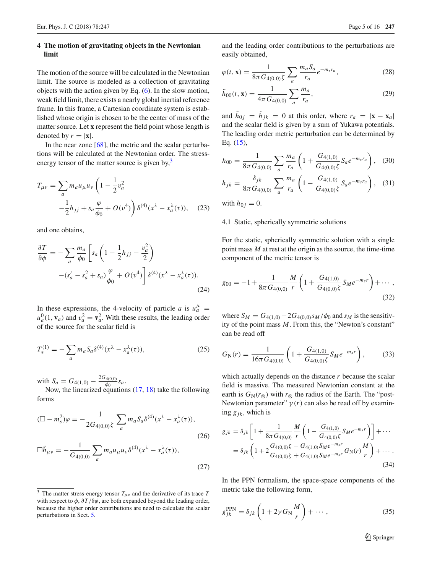# <span id="page-4-0"></span>**4 The motion of gravitating objects in the Newtonian limit**

The motion of the source will be calculated in the Newtonian limit. The source is modeled as a collection of gravitating objects with the action given by Eq. [\(6\)](#page-2-1). In the slow motion, weak field limit, there exists a nearly global inertial reference frame. In this frame, a Cartesian coordinate system is established whose origin is chosen to be the center of mass of the matter source. Let **x** represent the field point whose length is denoted by  $r = |\mathbf{x}|$ .

In the near zone  $[68]$  $[68]$ , the metric and the scalar perturbations will be calculated at the Newtonian order. The stressenergy tensor of the matter source is given by, $3$ 

$$
T_{\mu\nu} = \sum_{a} m_a u_{\mu} u_{\nu} \left( 1 - \frac{1}{2} v_a^2 - \frac{1}{2} h_{jj} + s_a \frac{\varphi}{\phi_0} + O(v^4) \right) \delta^{(4)}(x^{\lambda} - x_a^{\lambda}(\tau)), \quad (23)
$$

and one obtains,

$$
\frac{\partial T}{\partial \phi} = -\sum_{a} \frac{m_a}{\phi_0} \left[ s_a \left( 1 - \frac{1}{2} h_{jj} - \frac{v_a^2}{2} \right) - (s_a' - s_a^2 + s_a) \frac{\varphi}{\phi_0} + O(v^4) \right] \delta^{(4)}(x^{\lambda} - x_a^{\lambda}(\tau)).
$$
\n(24)

In these expressions, the 4-velocity of particle *a* is  $u_a^{\mu}$  =  $u_a^0(1, \mathbf{v}_a)$  and  $v_a^2 = \mathbf{v}_a^2$ . With these results, the leading order of the source for the scalar field is

$$
T_{*}^{(1)} = -\sum_{a} m_{a} S_{a} \delta^{(4)}(x^{\lambda} - x_{a}^{\lambda}(\tau)),
$$
 (25)

with  $S_a = G_{4(1,0)} - \frac{2G_{4(0,0)}}{\phi_0} s_a$ .

Now, the linearized equations [\(17,](#page-3-2) [18\)](#page-3-2) take the following forms

$$
(\Box - m_s^2)\varphi = -\frac{1}{2G_{4(0,0)}\zeta} \sum_a m_a S_a \delta^{(4)}(x^{\lambda} - x_a^{\lambda}(\tau)),
$$
\n
$$
\Box \tilde{h}_{\mu\nu} = -\frac{1}{G_{4(0,0)}} \sum_a m_a u_{\mu} u_{\nu} \delta^{(4)}(x^{\lambda} - x_a^{\lambda}(\tau)),
$$
\n(27)

and the leading order contributions to the perturbations are easily obtained,

<span id="page-4-2"></span>
$$
\varphi(t, \mathbf{x}) = \frac{1}{8\pi G_{4(0,0)}\zeta} \sum_{a} \frac{m_a S_a}{r_a} e^{-m_s r_a},\tag{28}
$$

$$
\tilde{h}_{00}(t, \mathbf{x}) = \frac{1}{4\pi G_{4(0,0)}} \sum_{a} \frac{m_a}{r_a},\tag{29}
$$

and  $\tilde{h}_{0j} = \tilde{h}_{jk} = 0$  at this order, where  $r_a = |\mathbf{x} - \mathbf{x}_a|$ and the scalar field is given by a sum of Yukawa potentials. The leading order metric perturbation can be determined by Eq. [\(15\)](#page-2-2),

<span id="page-4-3"></span>
$$
h_{00} = \frac{1}{8\pi G_{4(0,0)}} \sum_{a} \frac{m_a}{r_a} \left( 1 + \frac{G_{4(1,0)}}{G_{4(0,0)}\zeta} S_a e^{-m_s r_a} \right), \quad (30)
$$

$$
h_{jk} = \frac{\delta_{jk}}{8\pi G_{4(0,0)}} \sum_{a} \frac{m_a}{r_a} \left( 1 - \frac{G_{4(1,0)}}{G_{4(0,0)}\zeta} S_a e^{-m_s r_a} \right), \quad (31)
$$

with  $h_{0i} = 0$ .

#### 4.1 Static, spherically symmetric solutions

For the static, spherically symmetric solution with a single point mass *M* at rest at the origin as the source, the time-time component of the metric tensor is

$$
g_{00} = -1 + \frac{1}{8\pi G_{4(0,0)}} \frac{M}{r} \left( 1 + \frac{G_{4(1,0)}}{G_{4(0,0)}\zeta} S_M e^{-m_s r} \right) + \cdots,
$$
\n(32)

where  $S_M = G_{4(1,0)} - 2G_{4(0,0)}s_M/\phi_0$  and  $s_M$  is the sensitivity of the point mass *M*. From this, the "Newton's constant" can be read off

$$
G_{\rm N}(r) = \frac{1}{16\pi G_{4(0,0)}} \left( 1 + \frac{G_{4(1,0)}}{G_{4(0,0)}\zeta} S_M e^{-m_s r} \right),\tag{33}
$$

which actually depends on the distance *r* because the scalar field is massive. The measured Newtonian constant at the earth is  $G_N(r_\otimes)$  with  $r_\otimes$  the radius of the Earth. The "post-Newtonian parameter"  $\gamma(r)$  can also be read off by examining  $g_{jk}$ , which is

$$
g_{jk} = \delta_{jk} \left[ 1 + \frac{1}{8\pi G_{4(0,0)}} \frac{M}{r} \left( 1 - \frac{G_{4(1,0)}}{G_{4(0,0)} \zeta} S_M e^{-m_s r} \right) \right] + \cdots
$$
  
=  $\delta_{jk} \left( 1 + 2 \frac{G_{4(0,0)} \zeta - G_{4(1,0)} S_M e^{-m_s r}}{G_{4(0,0)} \zeta + G_{4(1,0)} S_M e^{-m_s r}} G_N(r) \frac{M}{r} \right) + \cdots$ . (34)

In the PPN formalism, the space-space components of the metric take the following form,

$$
g_{jk}^{\text{PPN}} = \delta_{jk} \left( 1 + 2\gamma G_{\text{N}} \frac{M}{r} \right) + \cdots, \qquad (35)
$$

<sup>2</sup> Springer

<span id="page-4-1"></span><sup>&</sup>lt;sup>3</sup> The matter stress-energy tensor  $T_{\mu\nu}$  and the derivative of its trace *T* with respect to  $\phi$ ,  $\partial T/\partial \phi$ , are both expanded beyond the leading order, because the higher order contributions are need to calculate the scalar perturbations in Sect. [5.](#page-6-0)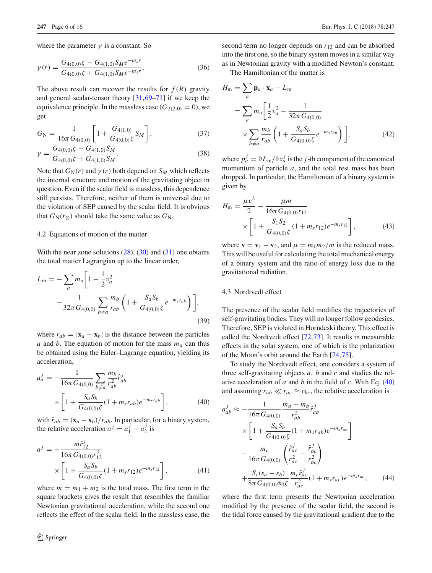where the parameter  $\gamma$  is a constant. So

$$
\gamma(r) = \frac{G_{4(0,0)}\zeta - G_{4(1,0)}S_M e^{-m_s r}}{G_{4(0,0)}\zeta + G_{4(1,0)}S_M e^{-m_s r}}.
$$
\n(36)

The above result can recover the results for  $f(R)$  gravity and general scalar-tensor theory [\[31,](#page-14-24)[69](#page-15-23)[–71\]](#page-15-24) if we keep the equivalence principle. In the massless case  $(G_{2(2,0)} = 0)$ , we get

<span id="page-5-3"></span>
$$
G_{\rm N} = \frac{1}{16\pi G_{4(0,0)}} \left[ 1 + \frac{G_{4(1,0)}}{G_{4(0,0)}\zeta} S_M \right],\tag{37}
$$

$$
\gamma = \frac{G_{4(0,0)}\zeta - G_{4(1,0)}S_M}{G_{4(0,0)}\zeta + G_{4(1,0)}S_M}.
$$
\n(38)

Note that  $G_N(r)$  and  $\gamma(r)$  both depend on  $S_M$  which reflects the internal structure and motion of the gravitating object in question. Even if the scalar field is massless, this dependence still persists. Therefore, neither of them is universal due to the violation of SEP caused by the scalar field. It is obvious that  $G_N(r_{\otimes})$  should take the same value as  $G_N$ .

#### 4.2 Equations of motion of the matter

With the near zone solutions  $(28)$ ,  $(30)$  and  $(31)$  one obtains the total matter Lagrangian up to the linear order,

$$
L_{\rm m} = -\sum_{a} m_{a} \left[ 1 - \frac{1}{2} v_{a}^{2} - \frac{1}{32\pi G_{4(0,0)}} \sum_{b \neq a} \frac{m_{b}}{r_{ab}} \left( 1 + \frac{S_{a} S_{b}}{G_{4(0,0)} \zeta} e^{-m_{s} r_{ab}} \right) \right],
$$
\n(39)

where  $r_{ab} = |\mathbf{x}_a - \mathbf{x}_b|$  is the distance between the particles *a* and *b*. The equation of motion for the mass  $m_a$  can thus be obtained using the Euler–Lagrange equation, yielding its acceleration,

<span id="page-5-0"></span>
$$
a_a^j = -\frac{1}{16\pi G_{4(0,0)}} \sum_{b \neq a} \frac{m_b}{r_{ab}^2} \hat{r}_{ab}^j
$$
  
 
$$
\times \left[ 1 + \frac{S_a S_b}{G_{4(0,0)} \zeta} (1 + m_s r_{ab}) e^{-m_s r_{ab}} \right],
$$
 (40)

with  $\hat{r}_{ab} = (\mathbf{x}_a - \mathbf{x}_b)/r_{ab}$ . In particular, for a binary system, the relative acceleration  $a^j = a_1^j - a_2^j$  is

<span id="page-5-1"></span>
$$
a^{j} = -\frac{m\hat{r}_{12}^{j}}{16\pi G_{4(0,0)}r_{12}^{2}} \times \left[1 + \frac{S_{a}S_{b}}{G_{4(0,0)}\zeta}(1 + m_{s}r_{12})e^{-m_{s}r_{12}}\right],
$$
\n(41)

where  $m = m_1 + m_2$  is the total mass. The first term in the square brackets gives the result that resembles the familiar Newtonian gravitational acceleration, while the second one reflects the effect of the scalar field. In the massless case, the second term no longer depends on *r*<sup>12</sup> and can be absorbed into the first one, so the binary system moves in a similar way as in Newtonian gravity with a modified Newton's constant.

The Hamiltonian of the matter is

$$
H_{\rm m} = \sum_{a} \mathbf{p}_{a} \cdot \mathbf{x}_{a} - L_{\rm m}
$$
  
= 
$$
\sum_{a} m_{a} \left[ \frac{1}{2} v_{a}^{2} - \frac{1}{32\pi G_{4(0,0)}}
$$
  

$$
\times \sum_{b \neq a} \frac{m_{b}}{r_{ab}} \left( 1 + \frac{S_{a} S_{b}}{G_{4(0,0)} \zeta} e^{-m_{s} r_{ab}} \right) \right],
$$
 (42)

where  $p_a^j = \partial L_m / \partial x_a^j$  is the *j*-th component of the canonical momentum of particle *a*, and the total rest mass has been dropped. In particular, the Hamiltonian of a binary system is given by

<span id="page-5-2"></span>
$$
H_{\rm m} = \frac{\mu v^2}{2} - \frac{\mu m}{16\pi G_{4(0,0)}r_{12}} \times \left[1 + \frac{S_1 S_2}{G_{4(0,0)}\zeta} (1 + m_s r_{12})e^{-m_s r_{12}}\right],
$$
(43)

where  $\mathbf{v} = \mathbf{v}_1 - \mathbf{v}_2$ , and  $\mu = m_1 m_2 / m$  is the reduced mass. This will be useful for calculating the total mechanical energy of a binary system and the ratio of energy loss due to the gravitational radiation.

#### 4.3 Nordtvedt effect

The presence of the scalar field modifies the trajectories of self-gravitating bodies. They will no longer follow geodesics. Therefore, SEP is violated in Horndeski theory. This effect is called the Nordtvedt effect [\[72](#page-15-25)[,73](#page-15-26)]. It results in measurable effects in the solar system, one of which is the polarization of the Moon's orbit around the Earth [\[74](#page-15-27)[,75](#page-15-28)].

To study the Nordtvedt effect, one considers a system of three self-gravitating objects *a*, *b* and *c* and studies the relative acceleration of *a* and *b* in the field of *c*. With Eq. [\(40\)](#page-5-0) and assuming  $r_{ab} \ll r_{ac} \approx r_{bc}$ , the relative acceleration is

$$
a_{ab}^{j} \approx -\frac{1}{16\pi G_{4(0,0)}} \frac{m_a + m_b}{r_{ab}^2} \hat{r}_{ab}^{j}
$$
  
 
$$
\times \left[ 1 + \frac{S_a S_b}{G_{4(0,0)} \zeta} (1 + m_s r_{ab}) e^{-m_s r_{ab}} \right]
$$
  
 
$$
- \frac{m_c}{16\pi G_{4(0,0)}} \left( \frac{\hat{r}_{ac}^{j}}{r_{ac}^2} - \frac{\hat{r}_{bc}^{j}}{r_{bc}^2} \right)
$$
  
 
$$
+ \frac{S_c (s_a - s_b)}{8\pi G_{4(0,0)} \phi_0 \zeta} \frac{m_c \hat{r}_{ac}^{j}}{r_{ac}^2} (1 + m_s r_{ac}) e^{-m_s r_{ac}}, \qquad (44)
$$

where the first term presents the Newtonian acceleration modified by the presence of the scalar field, the second is the tidal force caused by the gravitational gradient due to the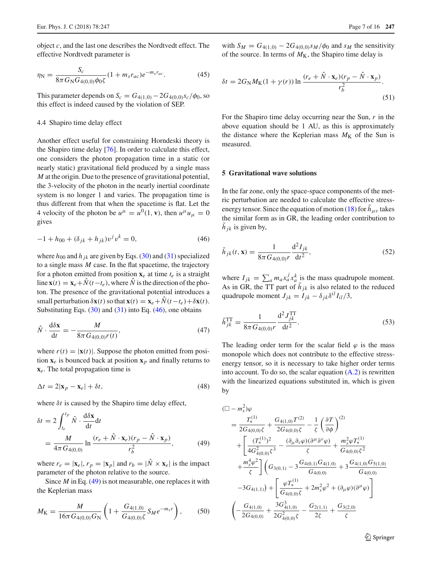object *c*, and the last one describes the Nordtvedt effect. The effective Nordtvedt parameter is

$$
\eta_{\rm N} = \frac{S_c}{8\pi G_{\rm N} G_{4(0,0)} \phi_0 \zeta} (1 + m_s r_{ac}) e^{-m_s r_{ac}}.
$$
\n(45)

This parameter depends on  $S_c = G_{4(1,0)} - 2G_{4(0,0)}s_c/\phi_0$ , so this effect is indeed caused by the violation of SEP.

#### 4.4 Shapiro time delay effect

Another effect useful for constraining Horndeski theory is the Shapiro time delay [\[76\]](#page-15-29). In order to calculate this effect, one considers the photon propagation time in a static (or nearly static) gravitational field produced by a single mass *M* at the origin. Due to the presence of gravitational potential, the 3-velocity of the photon in the nearly inertial coordinate system is no longer 1 and varies. The propagation time is thus different from that when the spacetime is flat. Let the 4 velocity of the photon be  $u^{\mu} = u^0(1, \mathbf{v})$ , then  $u^{\mu}u_{\mu} = 0$ gives

<span id="page-6-1"></span>
$$
-1 + h_{00} + (\delta_{jk} + h_{jk})v^j v^k = 0,
$$
\n(46)

where  $h_{00}$  and  $h_{jk}$  are given by Eqs. [\(30\)](#page-4-3) and [\(31\)](#page-4-3) specialized to a single mass *M* case. In the flat spacetime, the trajectory for a photon emitted from position  $\mathbf{x}_e$  at time  $t_e$  is a straight line  $\mathbf{x}(t) = \mathbf{x}_e + \hat{N}(t - t_e)$ , where  $\hat{N}$  is the direction of the photon. The presence of the gravitational potential introduces a small perturbation  $\delta$ **x**(*t*) so that **x**(*t*) = **x**<sub>*e*</sub> +  $\dot{N}$ (*t* − *t<sub>e</sub>*) +  $\delta$ **x**(*t*). Substituting Eqs.  $(30)$  and  $(31)$  into Eq.  $(46)$ , one obtains

$$
\hat{N} \cdot \frac{\mathrm{d}\delta \mathbf{x}}{\mathrm{d}t} = -\frac{M}{8\pi G_{4(0,0)}r(t)},\tag{47}
$$

where  $r(t) = |\mathbf{x}(t)|$ . Suppose the photon emitted from position  $\mathbf{x}_e$  is bounced back at position  $\mathbf{x}_p$  and finally returns to **x***e*. The total propagation time is

$$
\Delta t = 2|\mathbf{x}_p - \mathbf{x}_e| + \delta t,\tag{48}
$$

where  $\delta t$  is caused by the Shapiro time delay effect,

<span id="page-6-2"></span>
$$
\delta t = 2 \int_{t_e}^{t_p} \hat{N} \cdot \frac{d\delta \mathbf{x}}{dt} dt
$$
  
= 
$$
\frac{M}{4\pi G_{4(0,0)}} \ln \frac{(r_e + \hat{N} \cdot \mathbf{x}_e)(r_p - \hat{N} \cdot \mathbf{x}_p)}{r_b^2},
$$
(49)

where  $r_e = |\mathbf{x}_e|, r_p = |\mathbf{x}_p|$  and  $r_b = |\hat{N} \times \mathbf{x}_e|$  is the impact parameter of the photon relative to the source.

Since *M* in Eq. [\(49\)](#page-6-2) is not measurable, one replaces it with the Keplerian mass

$$
M_{\rm K} = \frac{M}{16\pi G_{4(0,0)} G_{\rm N}} \left( 1 + \frac{G_{4(1,0)}}{G_{4(0,0)} \zeta} S_M e^{-m_s r} \right),\tag{50}
$$

<span id="page-6-4"></span>with  $S_M = G_{4(1,0)} - 2G_{4(0,0)}s_M/\phi_0$  and  $s_M$  the sensitivity of the source. In terms of  $M<sub>K</sub>$ , the Shapiro time delay is

$$
\delta t = 2G_{\rm N}M_{\rm K}(1+\gamma(r))\ln\frac{(r_e + \hat{N}\cdot\mathbf{x}_e)(r_p - \hat{N}\cdot\mathbf{x}_p)}{r_b^2}.
$$
\n(51)

For the Shapiro time delay occurring near the Sun, *r* in the above equation should be 1 AU, as this is approximately the distance where the Keplerian mass  $M_K$  of the Sun is measured.

#### <span id="page-6-0"></span>**5 Gravitational wave solutions**

In the far zone, only the space-space components of the metric perturbation are needed to calculate the effective stress-energy tensor. Since the equation of motion [\(18\)](#page-3-2) for  $\tilde{h}_{\mu\nu}$  takes the similar form as in GR, the leading order contribution to  $h_{jk}$  is given by,

$$
\tilde{h}_{jk}(t, \mathbf{x}) = \frac{1}{8\pi G_{4(0,0)}r} \frac{\mathrm{d}^2 I_{jk}}{\mathrm{d}t^2},\tag{52}
$$

where  $I_{jk} = \sum_{a} m_a x_a^j x_a^k$  is the mass quadrupole moment. As in GR, the TT part of  $\tilde{h}_{jk}$  is also related to the reduced quadrupole moment  $J_{ik} = I_{ik} - \delta_{ik} \delta^{il} I_{il}/3$ ,

$$
\tilde{h}_{jk}^{\text{TT}} = \frac{1}{8\pi G_{4(0,0)}r} \frac{\mathrm{d}^2 J_{jk}^{\text{TT}}}{\mathrm{d}t^2}.
$$
\n(53)

The leading order term for the scalar field  $\varphi$  is the mass monopole which does not contribute to the effective stressenergy tensor, so it is necessary to take higher order terms into account. To do so, the scalar equation  $(A.2)$  is rewritten with the linearized equations substituted in, which is given by

<span id="page-6-3"></span>
$$
\begin{split}\n&\left(\Box - m_s^2\right)\varphi \\
&= \frac{T_*^{(1)}}{2G_{4(0,0)}\zeta} + \frac{G_{4(1,0)}T^{(2)}}{2G_{4(0,0)}\zeta} - \frac{1}{\zeta} \left(\frac{\partial T}{\partial \phi}\right)^{(2)} \\
&+ \left[\frac{(T_*^{(1)})^2}{4G_{4(0,0)}^2\zeta^3} - \frac{(\partial_\mu \partial_\nu \varphi)(\partial^\mu \partial^\nu \varphi)}{\zeta} + \frac{m_s^2 \varphi T_*^{(1)}}{G_{4(0,0)}\zeta^2} \\
&+ \frac{m_s^4 \varphi^2}{\zeta} \right] \left(G_{3(0,1)} - 3\frac{G_{4(0,1)}G_{4(1,0)}}{G_{4(0,0)}} + 3\frac{G_{4(1,0)}G_{5(1,0)}}{G_{4(0,0)}} \\
&- 3G_{4(1,1)}\right) + \left[\frac{\varphi T_*^{(1)}}{G_{4(0,0)}\zeta} + 2m_s^2 \varphi^2 + (\partial_\mu \varphi)(\partial^\mu \varphi)\right] \\
&\left(-\frac{G_{4(1,0)}}{2G_{4(0,0)}} + \frac{3G_{4(1,0)}^3}{2G_{4(0,0)}^2\zeta} - \frac{G_{2(1,1)}}{2\zeta} + \frac{G_{3(2,0)}}{\zeta}\n\right)\n\end{split}
$$

<sup>2</sup> Springer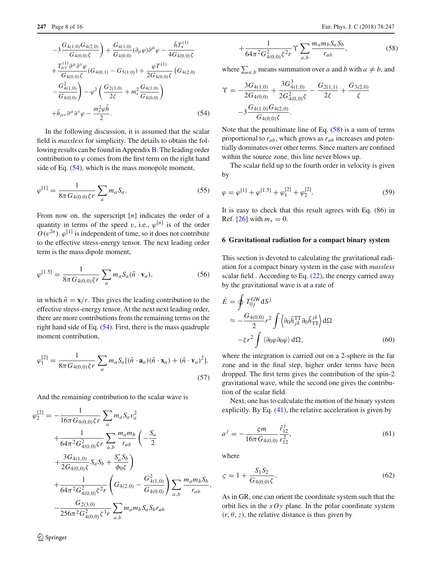$$
-3\frac{G_{4(1,0)}G_{4(2,0)}}{G_{4(0,0)}\zeta} + \frac{G_{4(1,0)}}{G_{4(0,0)}}(\partial_{\mu}\varphi)\partial^{\mu}\varphi - \frac{\tilde{h}T_{*}^{(1)}}{4G_{4(0,0)}\zeta}
$$
  
+ 
$$
\frac{T_{\mu\nu}^{(1)}\partial^{\mu}\partial^{\nu}\varphi}{G_{4(0,0)}\zeta}(G_{4(0,1)} - G_{5(1,0)}) + \frac{\varphi T^{(1)}}{2G_{4(0,0)}\zeta}(G_{4(2,0)}
$$
  
- 
$$
\frac{G_{4(1,0)}^{2}}{G_{4(0,0)}} - \varphi^{2}\left(\frac{G_{2(3,0)}}{2\zeta} + m_{s}^{2}\frac{G_{4(1,0)}}{G_{4(0,0)}}\right)
$$
  
+ 
$$
\tilde{h}_{\mu\nu}\partial^{\mu}\partial^{\nu}\varphi - \frac{m_{s}^{2}\varphi\tilde{h}}{2}.
$$
 (54)

In the following discussion, it is assumed that the scalar field is *massless* for simplicity. The details to obtain the following results can be found in Appendix  $\overline{B}$ . The leading order contribution to  $\varphi$  comes from the first term on the right hand side of Eq. [\(54\)](#page-6-3), which is the mass monopole moment,

$$
\varphi^{[1]} = \frac{1}{8\pi G_{4(0,0)}\zeta r} \sum_{a} m_a S_a.
$$
\n(55)

From now on, the superscript [*n*] indicates the order of a quantity in terms of the speed v, i.e.,  $\varphi^{[n]}$  is of the order  $O(v^{2n})$ .  $\varphi^{[1]}$  is independent of time, so it does not contribute to the effective stress-energy tensor. The next leading order term is the mass dipole moment,

$$
\varphi^{[1.5]} = \frac{1}{8\pi G_{4(0,0)}\zeta r} \sum_{a} m_a S_a(\hat{n} \cdot \mathbf{v}_a),\tag{56}
$$

in which  $\hat{n} = \mathbf{x}/r$ . This gives the leading contribution to the effective stress-energy tensor. At the next next leading order, there are more contributions from the remaining terms on the right hand side of Eq. [\(54\)](#page-6-3). First, there is the mass quadruple moment contribution,

$$
\varphi_1^{[2]} = \frac{1}{8\pi G_{4(0,0)}\zeta r} \sum_a m_a S_a [(\hat{n} \cdot \mathbf{a}_a)(\hat{n} \cdot \mathbf{x}_a) + (\hat{n} \cdot \mathbf{v}_a)^2].
$$
\n(57)

And the remaining contribution to the scalar wave is

<span id="page-7-1"></span>
$$
\varphi_2^{[2]} = -\frac{1}{16\pi G_{4(0,0)}\zeta r} \sum_a m_a S_a v_a^2 \n+ \frac{1}{64\pi^2 G_{4(0,0)}^2 \zeta r} \sum_{a,b} \frac{m_a m_b}{r_{ab}} \left( -\frac{S_a}{2} + \frac{3G_{4(1,0)}}{2G_{4(0,0)}\zeta} S_a S_b + \frac{S'_a S_b}{\phi_0 \zeta} \right) \n+ \frac{1}{64\pi^2 G_{4(0,0)}^2 \zeta^2 r} \left( G_{4(2,0)} - \frac{G_{4(1,0)}^2}{G_{4(0,0)}} \right) \sum_{a,b} \frac{m_a m_b S_b}{r_{ab}}, \n- \frac{G_{2(3,0)}}{256\pi^2 G_{4(0,0)}^2 \zeta^3 r} \sum_{a,b} m_a m_b S_a S_b r_{ab}
$$

$$
+\frac{1}{64\pi^2 G_{4(0,0)}^2 \zeta^2 r} \Upsilon \sum_{a,b} \frac{m_a m_b S_a S_b}{r_{ab}},\tag{58}
$$

where  $\sum_{a,b}$  means summation over *a* and *b* with  $a \neq b$ , and

$$
\begin{split} \Upsilon &= -\frac{3G_{4(1,0)}}{2G_{4(0,0)}} + \frac{3G_{4(1,0)}^3}{2G_{4(0,0)}^2\xi} - \frac{G_{2(1,1)}}{2\xi} + \frac{G_{3(2,0)}}{\xi} \\ &- 3\frac{G_{4(1,0)}G_{4(2,0)}}{G_{4(0,0)}\zeta} .\end{split}
$$

Note that the penultimate line of Eq.  $(58)$  is a sum of terms proportional to  $r_{ab}$ , which grows as  $r_{ab}$  increases and potentially dominates over other terms. Since matters are confined within the source zone, this line never blows up.

The scalar field up to the fourth order in velocity is given by

$$
\varphi = \varphi^{[1]} + \varphi^{[1.5]} + \varphi_1^{[2]} + \varphi_2^{[2]}.
$$
\n(59)

It is easy to check that this result agrees with Eq. (86) in Ref. [\[26\]](#page-14-19) with  $m_s = 0$ .

## <span id="page-7-0"></span>**6 Gravitational radiation for a compact binary system**

This section is devoted to calculating the gravitational radiation for a compact binary system in the case with *massless* scalar field . According to Eq.  $(22)$ , the energy carried away by the gravitational wave is at a rate of

$$
\dot{E} = \oint T_{0j}^{\text{GW}} \text{d}S^{j}
$$
\n
$$
\approx -\frac{G_{4(0,0)}}{2} r^2 \int \left\langle \partial_0 \tilde{h}_{jk}^{\text{TT}} \partial_0 \tilde{h}_{\text{TT}}^{jk} \right\rangle \text{d}\Omega
$$
\n
$$
-\zeta r^2 \int \left\langle \partial_0 \varphi \partial_0 \varphi \right\rangle \text{d}\Omega, \tag{60}
$$

where the integration is carried out on a 2-sphere in the far zone and in the final step, higher order terms have been dropped. The first term gives the contribution of the spin-2 gravitational wave, while the second one gives the contribution of the scalar field.

Next, one has to calculate the motion of the binary system explicitly. By Eq. [\(41\)](#page-5-1), the relative acceleration is given by

$$
a^{j} = -\frac{\varsigma m}{16\pi G_{4(0,0)}} \frac{\hat{r}_{12}^{j}}{r_{12}^{2}},
$$
\n(61)

where

$$
\zeta = 1 + \frac{S_1 S_2}{G_{4(0,0)} \zeta}.
$$
\n(62)

As in GR, one can orient the coordinate system such that the orbit lies in the *xOy* plane. In the polar coordinate system  $(r, \theta, z)$ , the relative distance is thus given by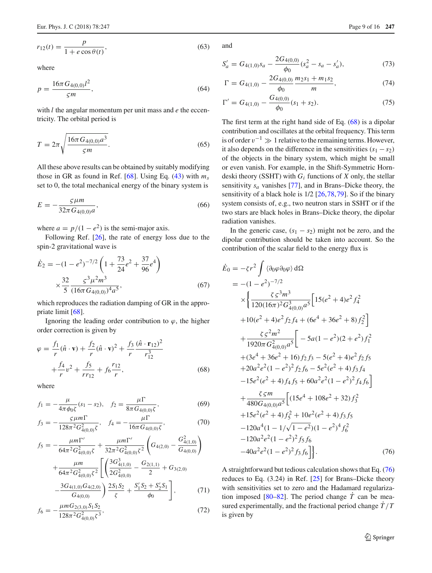$r_{12}(t) = \frac{p}{1 + e \cos \theta(t)}$ 

<span id="page-8-2"></span>where

$$
p = \frac{16\pi G_{4(0,0)}l^2}{\varsigma m},\tag{64}
$$

with *l* the angular momentum per unit mass and *e* the eccentricity. The orbital period is

$$
T = 2\pi \sqrt{\frac{16\pi G_{4(0,0)}a^3}{\varsigma m}}.
$$
\n(65)

All these above results can be obtained by suitably modifying those in GR as found in Ref. [\[68\]](#page-15-22). Using Eq. [\(43\)](#page-5-2) with *ms* set to 0, the total mechanical energy of the binary system is

$$
E = -\frac{\varsigma \mu m}{32\pi G_{4(0,0)}a},\tag{66}
$$

where  $a = p/(1 - e^2)$  is the semi-major axis.

Following Ref. [\[26\]](#page-14-19), the rate of energy loss due to the spin-2 gravitational wave is

$$
\dot{E}_2 = -(1 - e^2)^{-7/2} \left( 1 + \frac{73}{24} e^2 + \frac{37}{96} e^4 \right)
$$
  
 
$$
\times \frac{32}{5} \frac{\varsigma^3 \mu^2 m^3}{(16\pi G_{4(0,0)})^4 a^5},
$$
 (67)

which reproduces the radiation damping of GR in the appropriate limit [\[68\]](#page-15-22).

Ignoring the leading order contribution to  $\varphi$ , the higher order correction is given by

<span id="page-8-0"></span>
$$
\varphi = \frac{f_1}{r} (\hat{n} \cdot \mathbf{v}) + \frac{f_2}{r} (\hat{n} \cdot \mathbf{v})^2 + \frac{f_3}{r} \frac{(\hat{n} \cdot \mathbf{r}_{12})^2}{r_{12}^3} + \frac{f_4}{r} v^2 + \frac{f_5}{r_{12}} + f_6 \frac{r_{12}}{r},
$$
\n(68)

where

$$
f_1 = -\frac{\mu}{4\pi\phi_0\xi}(s_1 - s_2), \quad f_2 = \frac{\mu\Gamma}{8\pi G_{4(0,0)}\zeta},\tag{69}
$$

$$
f_3 = -\frac{\varsigma \mu m \Gamma}{128\pi^2 G_{4(0,0)}^2 \zeta}, \quad f_4 = -\frac{\mu \Gamma}{16\pi G_{4(0,0)} \zeta}, \tag{70}
$$

$$
f_5 = -\frac{\mu m \Gamma'}{64\pi^2 G_{4(0,0)}^2 \zeta} + \frac{\mu m \Gamma'}{32\pi^2 G_{4(0,0)}^2 \zeta^2} \left( G_{4(2,0)} - \frac{G_{4(1,0)}^2}{G_{4(0,0)}} \right) + \frac{\mu m}{64\pi^2 G_{4(0,0)}^2 \zeta^2} \left[ \left( \frac{3G_{4(1,0)}^3}{2G_{4(0,0)}^2} - \frac{G_{2(1,1)}}{2} + G_{3(2,0)} \right) - \frac{3G_{4(1,0)} G_{4(2,0)}}{G_{4(0,0)}} \right) \frac{2S_1 S_2}{\zeta} + \frac{S_1' S_2 + S_2' S_1}{\phi_0} , \qquad (71)
$$

$$
f_6 = -\frac{\mu m G_{2(3,0)} S_1 S_2}{128\pi^2 G_{4(0,0)}^2 \zeta^3},\tag{72}
$$

and

$$
S'_a = G_{4(1,0)}s_a - \frac{2G_{4(0,0)}}{\phi_0}(s_a^2 - s_a - s'_a),\tag{73}
$$

$$
\Gamma = G_{4(1,0)} - \frac{2G_{4(0,0)}}{\phi_0} \frac{m_2 s_1 + m_1 s_2}{m},\tag{74}
$$

$$
\Gamma' = G_{4(1,0)} - \frac{G_{4(0,0)}}{\phi_0} (s_1 + s_2). \tag{75}
$$

The first term at the right hand side of Eq. [\(68\)](#page-8-0) is a dipolar contribution and oscillates at the orbital frequency. This term is of order  $v^{-1} \gg 1$  relative to the remaining terms. However, it also depends on the difference in the sensitivities  $(s_1 - s_2)$ of the objects in the binary system, which might be small or even vanish. For example, in the Shift-Symmetric Horndeski theory (SSHT) with *Gi* functions of *X* only, the stellar sensitivity *sa* vanishes [\[77](#page-15-30)], and in Brans–Dicke theory, the sensitivity of a black hole is 1/2 [\[26](#page-14-19)[,78](#page-15-31),[79](#page-15-32)]. So if the binary system consists of, e.g., two neutron stars in SSHT or if the two stars are black holes in Brans–Dicke theory, the dipolar radiation vanishes.

In the generic case,  $(s_1 - s_2)$  might not be zero, and the dipolar contribution should be taken into account. So the contribution of the scalar field to the energy flux is

<span id="page-8-1"></span>
$$
\dot{E}_0 = -\zeta r^2 \int \langle \partial_0 \varphi \partial_0 \varphi \rangle d\Omega \n= -(1 - e^2)^{-7/2} \n\times \left\{ \frac{\zeta \varsigma^3 m^3}{120(16\pi)^2 G_{4(0,0)}^3 a^5} \Big[ 15(e^2 + 4)e^2 f_4^2 \right. \n+ 10(e^2 + 4)e^2 f_2 f_4 + (6e^4 + 36e^2 + 8) f_2^2 \Big] \n+ \frac{\zeta \varsigma^2 m^2}{1920\pi G_{4(0,0)}^2 a^5} \Big[ -5a(1 - e^2)(2 + e^2) f_1^2 \n+ (3e^4 + 36e^2 + 16) f_2 f_3 - 5(e^2 + 4)e^2 f_2 f_5 \n+ 20a^2 e^2 (1 - e^2)^2 f_2 f_6 - 5e^2 (e^2 + 4) f_3 f_4 \n- 15e^2 (e^2 + 4) f_4 f_5 + 60a^2 e^2 (1 - e^2)^2 f_4 f_6 \Big] \n+ \frac{\zeta \varsigma m}{480 G_{4(0,0)} a^5} \Big[ (15e^4 + 108e^2 + 32) f_3^2 \n+ 15e^2 (e^2 + 4) f_5^2 + 10e^2 (e^2 + 4) f_3 f_5 \n- 120a^4 (1 - 1/\sqrt{1 - e^2})(1 - e^2)^4 f_6^2 \n- 120a^2 e^2 (1 - e^2)^2 f_3 f_6 \Big]. \tag{76}
$$

A straightforward but tedious calculation shows that Eq. [\(76\)](#page-8-1) reduces to Eq. (3.24) in Ref. [\[25](#page-14-18)] for Brans–Dicke theory with sensitivities set to zero and the Hadamard regularization imposed  $[80-82]$  $[80-82]$ . The period change  $\dot{T}$  can be measured experimentally, and the fractional period change  $\dot{T}/T$ is given by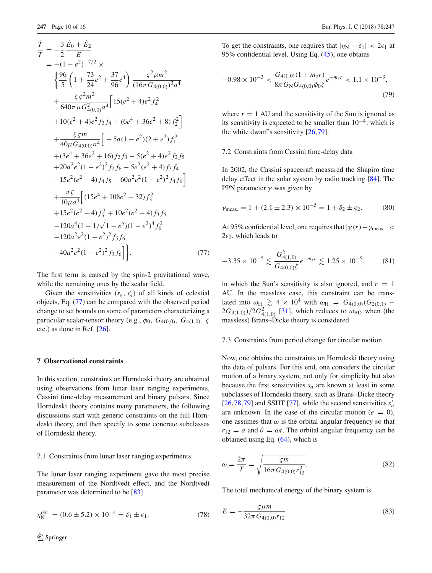<span id="page-9-1"></span>
$$
\frac{\dot{T}}{T} = -\frac{3}{2} \frac{\dot{E}_0 + \dot{E}_2}{E}
$$
\n
$$
= -(1 - e^2)^{-7/2} \times \left\{ \frac{96}{5} \left( 1 + \frac{73}{24} e^2 + \frac{37}{96} e^4 \right) \frac{\varsigma^2 \mu m^2}{(16\pi G_{4(0,0)})^3 a^4} + \frac{\varsigma \varsigma^2 m^2}{640\pi \mu G_{4(0,0)}^2 a^4} \left[ 15(e^2 + 4)e^2 f_4^2 \right] \right. \\
\left. + 10(e^2 + 4)e^2 f_2 f_4 + (6e^4 + 36e^2 + 8) f_2^2 \right] \left. + \frac{\varsigma \varsigma m}{40\mu G_{4(0,0)} a^4} \left[ -5a(1 - e^2)(2 + e^2) f_1^2 \right] \right. \\
\left. + (3e^4 + 36e^2 + 16) f_2 f_3 - 5(e^2 + 4)e^2 f_2 f_5 \right. \\
\left. + 20a^2 e^2 (1 - e^2)^2 f_2 f_6 - 5e^2 (e^2 + 4) f_3 f_4 \right. \\
\left. - 15e^2 (e^2 + 4) f_4 f_5 + 60a^2 e^2 (1 - e^2)^2 f_4 f_6 \right] \left. + \frac{\pi \varsigma}{10\mu a^4} \left[ (15e^4 + 108e^2 + 32) f_3^2 \right. \\
\left. + 15e^2 (e^2 + 4) f_5^2 + 10e^2 (e^2 + 4) f_3 f_5 \right. \\
\left. - 120a^4 (1 - 1/\sqrt{1 - e^2})(1 - e^2)^4 f_6^2 \right. \\
\left. - 120a^2 e^2 (1 - e^2)^2 f_3 f_6 \right] \right\}.
$$
\n(77)

The first term is caused by the spin-2 gravitational wave, while the remaining ones by the scalar field.

Given the sensitivities  $(s_a, s'_a)$  of all kinds of celestial objects, Eq. [\(77\)](#page-9-1) can be compared with the observed period change to set bounds on some of parameters characterizing a particular scalar-tensor theory (e.g.,  $\phi_0$ ,  $G_{4(0,0)}$ ,  $G_{4(1,0)}$ ,  $\zeta$ etc.) as done in Ref. [\[26](#page-14-19)].

#### <span id="page-9-0"></span>**7 Observational constraints**

In this section, constraints on Horndeski theory are obtained using observations from lunar laser ranging experiments, Cassini time-delay measurement and binary pulsars. Since Horndeski theory contains many parameters, the following discussions start with generic constraints on the full Horndeski theory, and then specify to some concrete subclasses of Horndeski theory.

#### 7.1 Constraints from lunar laser ranging experiments

The lunar laser ranging experiment gave the most precise measurement of the Nordtvedt effect, and the Nordtvedt parameter was determined to be [\[83\]](#page-15-35)

$$
\eta_{\rm N}^{\rm obs.} = (0.6 \pm 5.2) \times 10^{-4} = \delta_1 \pm \epsilon_1. \tag{78}
$$

<span id="page-9-4"></span>To get the constraints, one requires that  $|\eta_N - \delta_1| < 2\epsilon_1$  at 95% confidential level. Using Eq. [\(45\)](#page-6-4), one obtains

$$
-0.98 \times 10^{-3} < \frac{G_{4(1,0)}(1 + m_s r)}{8\pi G_{\rm N} G_{4(0,0)} \phi_0 \zeta} e^{-m_s r} < 1.1 \times 10^{-3},\tag{79}
$$

where  $r = 1$  AU and the sensitivity of the Sun is ignored as its sensitivity is expected to be smaller than  $10^{-4}$ , which is the white dwarf's sensitivity [\[26,](#page-14-19)[79\]](#page-15-32).

#### 7.2 Constraints from Cassini time-delay data

In 2002, the Cassini spacecraft measured the Shapiro time delay effect in the solar system by radio tracking [\[84](#page-15-36)]. The PPN parameter  $\gamma$  was given by

$$
\gamma_{\text{meas.}} = 1 + (2.1 \pm 2.3) \times 10^{-5} = 1 + \delta_2 \pm \epsilon_2.
$$
 (80)

<span id="page-9-3"></span>At 95% confidential level, one requires that  $|\gamma(r)-\gamma_{\text{meas}}|$  <  $2\epsilon_2$ , which leads to

$$
-3.35 \times 10^{-5} \lesssim \frac{G_{4(1,0)}}{G_{4(0,0)}\xi} e^{-m_s r} \lesssim 1.25 \times 10^{-5},\tag{81}
$$

in which the Sun's sensitivity is also ignored, and  $r = 1$ AU. In the massless case, this constraint can be translated into  $\omega_{\text{H}} \gtrsim 4 \times 10^4$  with  $\omega_{\text{H}} = G_{4(0,0)}(G_{2(0,1)} 2G_{3(1,0)}/2G_{4(1,0)}^2$  [\[31\]](#page-14-24), which reduces to  $\omega_{\text{BD}}$  when (the massless) Brans–Dicke theory is considered.

#### 7.3 Constraints from period change for circular motion

Now, one obtains the constraints on Horndeski theory using the data of pulsars. For this end, one considers the circular motion of a binary system, not only for simplicity but also because the first sensitivities  $s_a$  are known at least in some subclasses of Horndeski theory, such as Brans–Dicke theory  $[26,78,79]$  $[26,78,79]$  $[26,78,79]$  $[26,78,79]$  and SSHT [\[77\]](#page-15-30), while the second sensitivities  $s'_a$ are unknown. In the case of the circular motion ( $e = 0$ ), one assumes that  $\omega$  is the orbital angular frequency so that  $r_{12} = a$  and  $\theta = \omega t$ . The orbital angular frequency can be obtained using Eq. [\(64\)](#page-8-2), which is

<span id="page-9-2"></span>
$$
\omega = \frac{2\pi}{T} = \sqrt{\frac{\varsigma m}{16\pi G_{4(0,0)}r_{12}^3}}.
$$
\n(82)

The total mechanical energy of the binary system is

$$
E = -\frac{\varsigma \mu m}{32\pi G_{4(0,0)} r_{12}}.\tag{83}
$$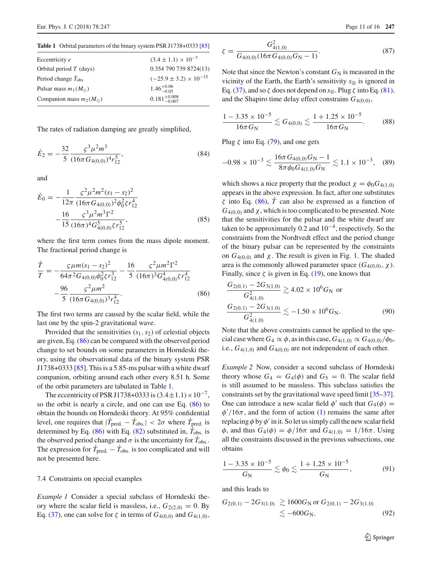<span id="page-10-1"></span>**Table 1** Orbital parameters of the binary system PSR J1738+0333 [\[85](#page-15-37)]

| $(3.4 \pm 1.1) \times 10^{-7}$    |
|-----------------------------------|
| 0.354 790 739 8724(13)            |
| $(-25.9 \pm 3.2) \times 10^{-15}$ |
| $1.46^{+0.06}_{-0.05}$            |
| $0.181^{+0.008}_{-0.007}$         |
|                                   |

The rates of radiation damping are greatly simplified,

$$
\dot{E}_2 = -\frac{32}{5} \frac{\varsigma^3 \mu^2 m^3}{(16\pi G_{4(0,0)})^4 r_{12}^5},\tag{84}
$$

and

$$
\dot{E}_0 = -\frac{1}{12\pi} \frac{\varsigma^2 \mu^2 m^2 (s_1 - s_2)^2}{(16\pi G_{4(0,0)})^2 \phi_0^2 \zeta r_{12}^4} -\frac{16}{15} \frac{\varsigma^3 \mu^2 m^3 \Gamma^2}{(16\pi)^4 G_{4(0,0)}^5 \zeta r_{12}^5},
$$
\n(85)

where the first term comes from the mass dipole moment. The fractional period change is

<span id="page-10-0"></span>
$$
\frac{\dot{T}}{T} = -\frac{\varsigma \mu m (s_1 - s_2)^2}{64\pi^2 G_{4(0,0)} \phi_0^2 \zeta r_{12}^3} - \frac{16}{5} \frac{\varsigma^2 \mu m^2 \Gamma^2}{(16\pi)^3 G_{4(0,0)}^4 \zeta r_{12}^4} - \frac{96}{5} \frac{\varsigma^2 \mu m^2}{(16\pi G_{4(0,0)})^3 r_{12}^4}.
$$
\n(86)

The first two terms are caused by the scalar field, while the last one by the spin-2 gravitational wave.

Provided that the sensitivities (*s*1,*s*2) of celestial objects are given, Eq. [\(86\)](#page-10-0) can be compared with the observed period change to set bounds on some parameters in Horndeski theory, using the observational data of the binary system PSR J1738+0333 [ $85$ ]. This is a 5.85-ms pulsar with a white dwarf companion, orbiting around each other every 8.51 h. Some of the orbit parameters are tabulated in Table [1.](#page-10-1)

The eccentricity of PSR J1738+0333 is  $(3.4 \pm 1.1) \times 10^{-7}$ , so the orbit is nearly a circle, and one can use Eq. [\(86\)](#page-10-0) to obtain the bounds on Horndeski theory. At 95% confidential level, one requires that  $|T_{pred.} - T_{obs.}| < 2\sigma$  where  $T_{pred.}$  is determined by Eq.  $(86)$  with Eq.  $(82)$  substituted in,  $T_{\text{obs}}$  is the observed period change and  $\sigma$  is the uncertainty for  $T_{\text{obs}}$ . The expression for  $T_{pred.} - T_{obs.}$  is too complicated and will not be presented here.

#### 7.4 Constraints on special examples

*Example 1* Consider a special subclass of Horndeski theory where the scalar field is massless, i.e.,  $G_{2(2,0)} = 0$ . By Eq. [\(37\)](#page-5-3), one can solve for  $\zeta$  in terms of  $G_{4(0,0)}$  and  $G_{4(1,0)}$ ,

$$
\zeta = \frac{G_{4(1,0)}^2}{G_{4(0,0)}(16\pi G_{4(0,0)}G_N - 1)}.\tag{87}
$$

Note that since the Newton's constant  $G_N$  is measured in the vicinity of the Earth, the Earth's sensitivity *s*<sup>⊗</sup> is ignored in Eq. [\(37\)](#page-5-3), and so  $\zeta$  does not depend on  $s_{\otimes}$ . Plug  $\zeta$  into Eq. [\(81\)](#page-9-3), and the Shapiro time delay effect constrains *G*4(0,0),

$$
\frac{1 - 3.35 \times 10^{-5}}{16\pi G_N} \lesssim G_{4(0,0)} \lesssim \frac{1 + 1.25 \times 10^{-5}}{16\pi G_N}.
$$
 (88)

Plug  $\zeta$  into Eq. [\(79\)](#page-9-4), and one gets

$$
-0.98 \times 10^{-3} \lesssim \frac{16\pi G_{4(0,0)} G_{\rm N} - 1}{8\pi \phi_0 G_{4(1,0)} G_{\rm N}} \lesssim 1.1 \times 10^{-3}, \quad (89)
$$

which shows a nice property that the product  $\chi = \phi_0 G_{4(1,0)}$ appears in the above expression. In fact, after one substitutes  $\zeta$  into Eq. [\(86\)](#page-10-0),  $\dot{T}$  can also be expressed as a function of  $G_{4(0,0)}$  and  $\chi$ , which is too complicated to be presented. Note that the sensitivities for the pulsar and the white dwarf are taken to be approximately 0.2 and  $10^{-4}$ , respectively. So the constraints from the Nordtvedt effect and the period change of the binary pulsar can be represented by the constraints on  $G_{4(0,0)}$  and  $\chi$ . The result is given in Fig. [1.](#page-11-3) The shaded area is the commonly allowed parameter space  $(G_{4(0,0)}, \chi)$ . Finally, since  $\zeta$  is given in Eq. [\(19\)](#page-3-6), one knows that

<span id="page-10-2"></span>
$$
\frac{G_{2(0,1)} - 2G_{3(1,0)}}{G_{4(1,0)}^2} \gtrsim 4.02 \times 10^6 G_N \text{ or}
$$
  

$$
\frac{G_{2(0,1)} - 2G_{3(1,0)}}{G_{4(1,0)}^2} \lesssim -1.50 \times 10^6 G_N.
$$
 (90)

Note that the above constraints cannot be applied to the special case where  $G_4 \propto \phi$ , as in this case,  $G_{4(1,0)} \propto G_{4(0,0)}/\phi_0$ , i.e.,  $G_{4(1,0)}$  and  $G_{4(0,0)}$  are not independent of each other.

*Example 2* Now, consider a second subclass of Horndeski theory whose  $G_4 = G_4(\phi)$  and  $G_5 = 0$ . The scalar field is still assumed to be massless. This subclass satisfies the constraints set by the gravitational wave speed limit [\[35](#page-14-28)[–37](#page-15-1)]. One can introduce a new scalar field  $\phi'$  such that  $G_4(\phi)$  =  $\phi'/16\pi$ , and the form of action [\(1\)](#page-1-2) remains the same after replacing  $\phi$  by  $\phi'$  in it. So let us simply call the new scalar field φ, and thus  $G_4(\phi) = \phi/16\pi$  and  $G_{4(1,0)} = 1/16\pi$ . Using all the constraints discussed in the previous subsections, one obtains

<span id="page-10-3"></span>
$$
\frac{1 - 3.35 \times 10^{-5}}{G_{\rm N}} \lesssim \phi_0 \lesssim \frac{1 + 1.25 \times 10^{-5}}{G_{\rm N}},
$$
(91)

and this leads to

<span id="page-10-4"></span>
$$
G_{2(0,1)} - 2G_{3(1,0)} \gtrsim 1600 G_{\rm N} \text{ or } G_{2(0,1)} - 2G_{3(1,0)} \n\lesssim -600 G_{\rm N}.
$$
\n(92)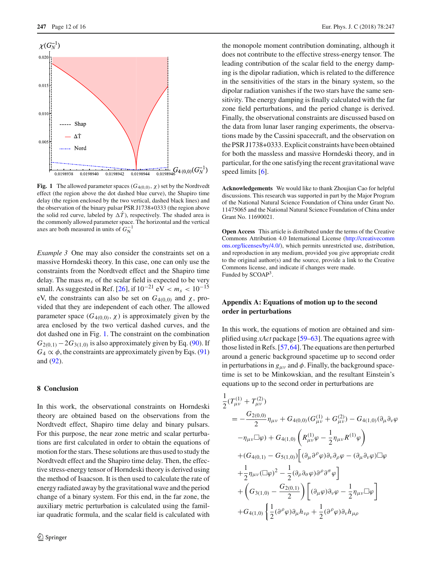

<span id="page-11-3"></span>**Fig. 1** The allowed parameter spaces ( $G_{4(0,0)}$ ,  $\chi$ ) set by the Nordtvedt effect (the region above the dot dashed blue curve), the Shapiro time delay (the region enclosed by the two vertical, dashed black lines) and the observation of the binary pulsar PSR J1738+0333 (the region above the solid red curve, labeled by  $\Delta T$ ), respectively. The shaded area is the commonly allowed parameter space. The horizontal and the vertical axes are both measured in units of  $G_N^{-1}$ 

*Example 3* One may also consider the constraints set on a massive Horndeski theory. In this case, one can only use the constraints from the Nordtvedt effect and the Shapiro time delay. The mass  $m<sub>s</sub>$  of the scalar field is expected to be very small. As suggested in Ref. [\[26](#page-14-19)], if  $10^{-21}$  eV  $\lt m_s \lt 10^{-15}$ eV, the constraints can also be set on  $G_{4(0,0)}$  and  $\chi$ , provided that they are independent of each other. The allowed parameter space  $(G_{4(0,0)}, \chi)$  is approximately given by the area enclosed by the two vertical dashed curves, and the dot dashed one in Fig. [1.](#page-11-3) The constraint on the combination  $G_{2(0,1)} - 2G_{3(1,0)}$  is also approximately given by Eq. [\(90\)](#page-10-2). If  $G_4 \propto \phi$ , the constraints are approximately given by Eqs. [\(91\)](#page-10-3) and [\(92\)](#page-10-4).

#### <span id="page-11-0"></span>**8 Conclusion**

In this work, the observational constraints on Horndeski theory are obtained based on the observations from the Nordtvedt effect, Shapiro time delay and binary pulsars. For this purpose, the near zone metric and scalar perturbations are first calculated in order to obtain the equations of motion for the stars. These solutions are thus used to study the Nordtvedt effect and the Shapiro time delay. Then, the effective stress-energy tensor of Horndeski theory is derived using the method of Isaacson. It is then used to calculate the rate of energy radiated away by the gravitational wave and the period change of a binary system. For this end, in the far zone, the auxiliary metric perturbation is calculated using the familiar quadratic formula, and the scalar field is calculated with the monopole moment contribution dominating, although it does not contribute to the effective stress-energy tensor. The leading contribution of the scalar field to the energy damping is the dipolar radiation, which is related to the difference in the sensitivities of the stars in the binary system, so the dipolar radiation vanishes if the two stars have the same sensitivity. The energy damping is finally calculated with the far zone field perturbations, and the period change is derived. Finally, the observational constraints are discussed based on the data from lunar laser ranging experiments, the observations made by the Cassini spacecraft, and the observation on the PSR J1738+0333. Explicit constraints have been obtained for both the massless and massive Horndeski theory, and in particular, for the one satisfying the recent gravitational wave speed limits [\[6\]](#page-14-4).

**Acknowledgements** We would like to thank Zhoujian Cao for helpful discussions. This research was supported in part by the Major Program of the National Natural Science Foundation of China under Grant No. 11475065 and the National Natural Science Foundation of China under Grant No. 11690021.

**Open Access** This article is distributed under the terms of the Creative Commons Attribution 4.0 International License [\(http://creativecomm](http://creativecommons.org/licenses/by/4.0/) [ons.org/licenses/by/4.0/\)](http://creativecommons.org/licenses/by/4.0/), which permits unrestricted use, distribution, and reproduction in any medium, provided you give appropriate credit to the original author(s) and the source, provide a link to the Creative Commons license, and indicate if changes were made. Funded by SCOAP<sup>3</sup>.

# <span id="page-11-1"></span>**Appendix A: Equations of motion up to the second order in perturbations**

In this work, the equations of motion are obtained and simplified using *xAct* package [\[59](#page-15-16)[–63\]](#page-15-17). The equations agree with those listed in Refs. [\[57,](#page-15-14)[64\]](#page-15-18). The equations are then perturbed around a generic background spacetime up to second order in perturbations in  $g_{\mu\nu}$  and  $\phi$ . Finally, the background spacetime is set to be Minkowskian, and the resultant Einstein's equations up to the second order in perturbations are

<span id="page-11-2"></span>
$$
\frac{1}{2}(T_{\mu\nu}^{(1)} + T_{\mu\nu}^{(2)})
$$
\n
$$
= -\frac{G_{2(0,0)}}{2} \eta_{\mu\nu} + G_{4(0,0)}(G_{\mu\nu}^{(1)} + G_{\mu\nu}^{(2)}) - G_{4(1,0)}(\partial_{\mu}\partial_{\nu}\varphi - \eta_{\mu\nu}\Box\varphi) + G_{4(1,0)}\left(R_{\mu\nu}^{(1)}\varphi - \frac{1}{2}\eta_{\mu\nu}R^{(1)}\varphi\right)
$$
\n
$$
+ (G_{4(0,1)} - G_{5(1,0)}) \left[ (\partial_{\mu}\partial^{\rho}\varphi)\partial_{\nu}\partial_{\rho}\varphi - (\partial_{\mu}\partial_{\nu}\varphi)\Box\varphi + \frac{1}{2}\eta_{\mu\nu}(\Box\varphi)^{2} - \frac{1}{2}(\partial_{\rho}\partial_{\sigma}\varphi)\partial^{\rho}\partial^{\sigma}\varphi\right]
$$
\n
$$
+ \left(G_{3(1,0)} - \frac{G_{2(0,1)}}{2}\right) \left[ (\partial_{\mu}\varphi)\partial_{\nu}\varphi - \frac{1}{2}\eta_{\mu\nu}\Box\varphi\right]
$$
\n
$$
+ G_{4(1,0)}\left\{\frac{1}{2}(\partial^{\rho}\varphi)\partial_{\mu}h_{\nu\rho} + \frac{1}{2}(\partial^{\rho}\varphi)\partial_{\nu}h_{\mu\rho}\right\}
$$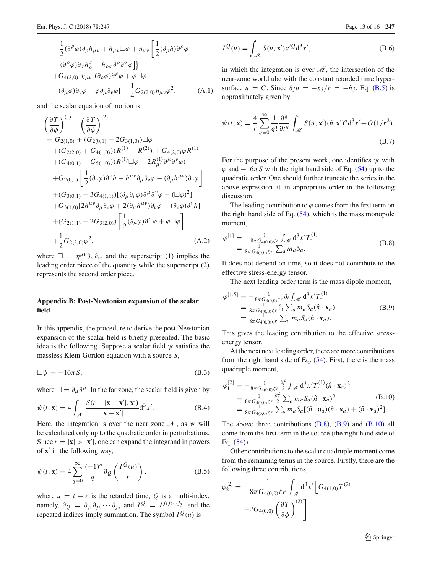and the scalar equation of motion is

<span id="page-12-0"></span>
$$
-\left(\frac{\partial T}{\partial \phi}\right)^{(1)} - \left(\frac{\partial T}{\partial \phi}\right)^{(2)}
$$
  
=  $G_{2(1,0)} + (G_{2(0,1)} - 2G_{3(1,0)})\Box\varphi$   
+ $(G_{2(2,0)} + G_{4(1,0)})(R^{(1)} + R^{(2)}) + G_{4(2,0)}\varphi R^{(1)}$   
+ $(G_{4(0,1)} - G_{5(1,0)})(R^{(1)}\Box\varphi - 2R_{\mu\nu}^{(1)}\partial^{\mu}\partial^{\nu}\varphi)$   
+ $G_{2(0,1)}\left[\frac{1}{2}(\partial_{\nu}\varphi)\partial^{\nu}h - h^{\mu\nu}\partial_{\mu}\partial_{\nu}\varphi - (\partial_{\mu}h^{\mu\nu})\partial_{\nu}\varphi\right]$   
+ $(G_{3(0,1)} - 3G_{4(1,1)})[(\partial_{\mu}\partial_{\nu}\varphi)\partial^{\mu}\partial^{\nu}\varphi - (\Box\varphi)^{2}]$   
+ $G_{3(1,0)}[2h^{\mu\nu}\partial_{\mu}\partial_{\nu}\varphi + 2(\partial_{\mu}h^{\mu\nu})\partial_{\nu}\varphi - (\partial_{\nu}\varphi)\partial^{\nu}h]$   
+ $(G_{2(1,1)} - 2G_{3(2,0)})\left[\frac{1}{2}(\partial_{\mu}\varphi)\partial^{\mu}\varphi + \varphi\Box\varphi\right]$   
+ $\frac{1}{2}G_{2(3,0)}\varphi^{2}$ , (A.2)

<span id="page-12-1"></span>where  $\Box = \eta^{\mu\nu}\partial_{\mu}\partial_{\nu}$ , and the superscript (1) implies the leading order piece of the quantity while the superscript (2) represents the second order piece.

# **Appendix B: Post-Newtonian expansion of the scalar field**

In this appendix, the procedure to derive the post-Newtonian expansion of the scalar field is briefly presented. The basic idea is the following. Suppose a scalar field  $\psi$  satisfies the massless Klein-Gordon equation with a source *S*,

$$
\Box \psi = -16\pi S, \tag{B.3}
$$

where  $\Box = \partial_{\mu} \partial^{\mu}$ . In the far zone, the scalar field is given by

$$
\psi(t, \mathbf{x}) = 4 \int_{\mathcal{N}} \frac{S(t - |\mathbf{x} - \mathbf{x}'|, \mathbf{x}')}{|\mathbf{x} - \mathbf{x}'|} d^3 x'.
$$
 (B.4)

Here, the integration is over the near zone  $\mathcal N$ , as  $\psi$  will be calculated only up to the quadratic order in perturbations. Since  $r = |\mathbf{x}| > |\mathbf{x}'|$ , one can expand the integrand in powers of **x**' in the following way,

<span id="page-12-2"></span>
$$
\psi(t, \mathbf{x}) = 4 \sum_{q=0}^{\infty} \frac{(-1)^q}{q!} \partial_Q \left( \frac{I^Q(u)}{r} \right),
$$
 (B.5)

where  $u = t - r$  is the retarded time, Q is a multi-index, namely,  $\partial_Q = \partial_{j_1} \partial_{j_2} \cdots \partial_{j_q}$  and  $I^Q = I^{j_1 j_2 \cdots j_q}$ , and the repeated indices imply summation. The symbol  $I^{\mathcal{Q}}(u)$  is

$$
I^{Q}(u) = \int_{\mathcal{M}} S(u, \mathbf{x}') x'^{Q} d^{3} x', \qquad (B.6)
$$

in which the integration is over *M*, the intersection of the near-zone worldtube with the constant retarded time hypersurface  $u = C$ . Since  $\partial_i u = -x_i/r = -\hat{n}_i$ , Eq. [\(B.5\)](#page-12-2) is approximately given by

$$
\psi(t, \mathbf{x}) = \frac{4}{r} \sum_{q=0}^{\infty} \frac{1}{q!} \frac{\partial^q}{\partial t^q} \int_{\mathcal{M}} S(u, \mathbf{x}') (\hat{n} \cdot \mathbf{x}')^q d^3 x' + O(1/r^2).
$$
\n(B.7)

For the purpose of the present work, one identifies  $\psi$  with  $\varphi$  and  $-16\pi S$  with the right hand side of Eq. [\(54\)](#page-6-3) up to the quadratic order. One should further truncate the series in the above expression at an appropriate order in the following discussion.

The leading contribution to  $\varphi$  comes from the first term on the right hand side of Eq. [\(54\)](#page-6-3), which is the mass monopole moment,

<span id="page-12-3"></span>
$$
\varphi^{[1]} = -\frac{1}{8\pi G_{4(0,0)}\zeta r} \int_{\mathcal{M}} d^3 x' T_*^{(1)} \n= \frac{1}{8\pi G_{4(0,0)}\zeta r} \sum_a m_a S_a.
$$
\n(B.8)

It does not depend on time, so it does not contribute to the effective stress-energy tensor.

The next leading order term is the mass dipole moment,

<span id="page-12-4"></span>
$$
\varphi^{[1.5]} = -\frac{1}{8\pi G_{4(0,0)}\zeta r} \partial_t \int_{\mathcal{M}} d^3 x' T_*^{(1)} \n= \frac{1}{8\pi G_{4(0,0)}\zeta r} \partial_t \sum_a m_a S_a(\hat{n} \cdot \mathbf{x}_a) \n= \frac{1}{8\pi G_{4(0,0)}\zeta r} \sum_a m_a S_a(\hat{n} \cdot \mathbf{v}_a).
$$
\n(B.9)

This gives the leading contribution to the effective stressenergy tensor.

At the next next leading order, there are more contributions from the right hand side of Eq.  $(54)$ . First, there is the mass quadruple moment,

<span id="page-12-5"></span>
$$
\varphi_1^{[2]} = -\frac{1}{8\pi G_{4(0,0)}\zeta r} \frac{\partial_r^2}{2} \int_{\mathscr{M}} d^3 x' T_*^{(1)} (\hat{n} \cdot \mathbf{x}_a)^2 \n= \frac{1}{8\pi G_{4(0,0)}\zeta r} \frac{\partial_r^2}{2} \sum_a m_a S_a (\hat{n} \cdot \mathbf{x}_a)^2 \n= \frac{1}{8\pi G_{4(0,0)}\zeta r} \sum_a m_a S_a [(\hat{n} \cdot \mathbf{a}_a)(\hat{n} \cdot \mathbf{x}_a) + (\hat{n} \cdot \mathbf{v}_a)^2].
$$
\n(B.10)

The above three contributions  $(B.8)$ ,  $(B.9)$  and  $(B.10)$  all come from the first term in the source (the right hand side of Eq.  $(54)$ ).

Other contributions to the scalar quadruple moment come from the remaining terms in the source. Firstly, there are the following three contributions,

<span id="page-12-6"></span>
$$
\varphi_2^{[2]} = -\frac{1}{8\pi G_{4(0,0)}\zeta r} \int_{\mathcal{M}} d^3 x' \left[ G_{4(1,0)} T^{(2)} -2G_{4(0,0)} \left( \frac{\partial T}{\partial \phi} \right)^{(2)} \right]
$$

<sup>2</sup> Springer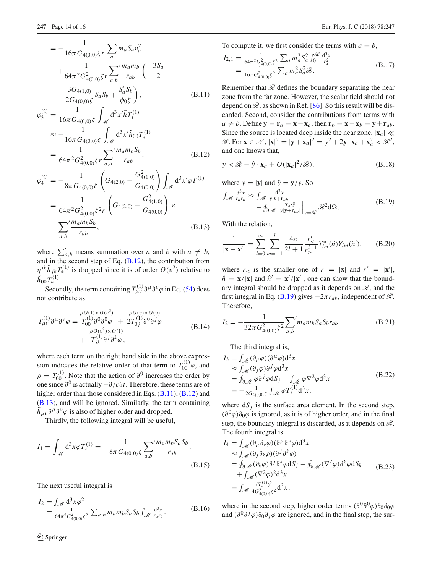$$
= -\frac{1}{16\pi G_{4(0,0)}\zeta r} \sum_{a} m_a S_a v_a^2
$$
  
+ 
$$
\frac{1}{64\pi^2 G_{4(0,0)}^2 \zeta r} \sum_{a,b} \frac{m_a m_b}{r_{ab}} \left( -\frac{3S_a}{2} + \frac{3G_{4(1,0)}}{2G_{4(0,0)}\zeta} S_a S_b + \frac{S'_a S_b}{\phi_0 \zeta} \right),
$$
(B.11)

$$
\varphi_3^{[2]} = \frac{1}{16\pi G_{4(0,0)}\zeta} \int_{\mathcal{M}} d^3 x' \tilde{h} T_*^{(1)}
$$
  
\n
$$
\approx -\frac{1}{16\pi G_{4(0,0)}\zeta} \int_{\mathcal{M}} d^3 x' \tilde{h}_{00} T_*^{(1)}
$$
  
\n
$$
= \frac{1}{64\pi^2 G_{4(0,0)}^2 \zeta r} \sum_{a,b} \frac{m_a m_b S_b}{r_{ab}},
$$
(B.12)

$$
\varphi_4^{[2]} = -\frac{1}{8\pi G_{4(0,0)}\zeta} \left( G_{4(2,0)} - \frac{G_{4(1,0)}^2}{G_{4(0,0)}} \right) \int_{\mathcal{M}} d^3 x' \varphi T^{(1)} \n= \frac{1}{64\pi^2 G_{4(0,0)}^2 \zeta^2 r} \left( G_{4(2,0)} - \frac{G_{4(1,0)}^2}{G_{4(0,0)}} \right) \times \n\sum_{a,b} \frac{m_a m_b S_b}{r_{ab}},
$$
\n(B.13)

where  $\sum_{a,b}^{\prime}$  means summation over *a* and *b* with  $a \neq b$ , and in the second step of Eq.  $(B.12)$ , the contribution from  $\eta^{jk}\tilde{h}_{jk}T_{*}^{(1)}$  is dropped since it is of order  $O(v^2)$  relative to  $\tilde{h}_{00}T_*^{(1)}$ .

Secondly, the term containing  $T^{(1)}_{\mu\nu}\partial^{\mu}\partial^{\nu}\varphi$  in Eq. [\(54\)](#page-6-3) does not contribute as

$$
T^{(1)}_{\mu\nu}\partial^{\mu}\partial^{\nu}\varphi = T^{(1)}_{00}\partial^{0}\partial^{\rho}\varphi + 2T^{(1)}_{0j}\partial^{0}\partial^{j}\varphi
$$
  
\n
$$
+ T^{(1)}_{jk}\partial^{j}\partial^{\delta}\varphi,
$$
  
\n(B.14)

where each term on the right hand side in the above expression indicates the relative order of that term to  $T_{00}^{(1)}\varphi$ , and  $\rho = T_{00}^{(1)}$ . Note that the action of  $\partial^0$  increases the order by one since <sup>∂</sup><sup>0</sup> is actually <sup>−</sup>∂/*c*∂*t*. Therefore, these terms are of higher order than those considered in Eqs. [\(B.11\)](#page-12-6), [\(B.12\)](#page-12-6) and [\(B.13\)](#page-12-6), and will be ignored. Similarly, the term containing  $h_{\mu\nu}\partial^{\mu}\partial^{\nu}\varphi$  is also of higher order and dropped.

Thirdly, the following integral will be useful,

$$
I_1 = \int_{\mathcal{M}} d^3x \varphi T_*^{(1)} = -\frac{1}{8\pi G_{4(0,0)}\zeta} \sum_{a,b} \frac{m_a m_b S_a S_b}{r_{ab}}.
$$
\n(B.15)

The next useful integral is

$$
I_2 = \int_{\mathcal{M}} d^3 x \varphi^2
$$
  
=  $\frac{1}{64\pi^2 G_{4(0,0)}^2 \zeta^2} \sum_{a,b} m_a m_b S_a S_b \int_{\mathcal{M}} \frac{d^3 x}{r_a r_b}.$  (B.16)

To compute it, we first consider the terms with  $a = b$ ,

$$
I_{2,1} = \frac{1}{64\pi^2 G_{4(0,0)}^2 \zeta^2} \sum_a m_a^2 S_a^2 \int_0^{\mathcal{R}} \frac{d^3 x}{r_a^2}
$$
  
= 
$$
\frac{1}{16\pi G_{4(0,0)}^2 \zeta^2} \sum_a m_a^2 S_a^2 \mathcal{R}.
$$
 (B.17)

Remember that  $\mathscr R$  defines the boundary separating the near zone from the far zone. However, the scalar field should not depend on  $\mathcal{R}$ , as shown in Ref. [\[86\]](#page-15-38). So this result will be discarded. Second, consider the contributions from terms with  $a \neq b$ . Define  $y = r_a = x - x_a$ , then  $r_b = x - x_b = y + r_{ab}$ . Since the source is located deep inside the near zone,  $|\mathbf{x}_a| \ll$  $\mathcal{R}$ . For  $\mathbf{x} \in \mathcal{N}$ ,  $|\mathbf{x}|^2 = |\mathbf{y} + \mathbf{x}_a|^2 = y^2 + 2\mathbf{y} \cdot \mathbf{x}_a + \mathbf{x}_a^2 < \mathcal{R}^2$ , and one knows that,

$$
y < \mathcal{R} - \hat{y} \cdot \mathbf{x}_a + O(|\mathbf{x}_a|^2/\mathcal{R}),
$$
 (B.18)

<span id="page-13-0"></span>where  $y = |\mathbf{y}|$  and  $\hat{y} = \mathbf{y}/y$ . So  $\int_{\mathscr{M}} \frac{d^3x}{r_a r_b} \approx \int_{\mathscr{M}}$  $d^3y$ *y*|**y**+**r***ab*|  $-\oint_{\partial \mathcal{M}} \frac{\mathbf{x}_a \cdot \hat{y}}{y|\mathbf{y}+\mathbf{r}_a}$ *y*|**y**+**r***ab*|  $\Big|_{y=\mathscr{R}} \mathscr{R}^2 d\Omega.$  (B.19)

With the relation,

$$
\frac{1}{|\mathbf{x} - \mathbf{x}'|} = \sum_{l=0}^{\infty} \sum_{m=-l}^{l} \frac{4\pi}{2l+1} \frac{r_<^l}{r_<^{l+1}} Y_{lm}^*(\hat{n}) Y_{lm}(\hat{n}'), \qquad (B.20)
$$

where  $r<sub>lt</sub>$  is the smaller one of  $r = |\mathbf{x}|$  and  $r' = |\mathbf{x}'|$ ,  $\hat{n} = \mathbf{x}/|\mathbf{x}|$  and  $\hat{n}' = \mathbf{x}'/|\mathbf{x}'|$ , one can show that the boundary integral should be dropped as it depends on *R*, and the first integral in Eq. [\(B.19\)](#page-13-0) gives  $-2\pi r_{ab}$ , independent of  $\mathcal{R}$ . Therefore,

$$
I_2 = -\frac{1}{32\pi G_{4(0,0)}^2 \zeta^2} \sum_{a,b}^{\prime} m_a m_b S_a S_b r_{ab}.
$$
 (B.21)

The third integral is,

$$
I_3 = \int_{\mathcal{M}} (\partial_{\mu} \varphi)(\partial^{\mu} \varphi) d^3 x
$$
  
\n
$$
\approx \int_{\mathcal{M}} (\partial_j \varphi) \partial^j \varphi d^3 x
$$
  
\n
$$
= \oint_{\partial \mathcal{M}} \varphi \partial^j \varphi dS_j - \int_{\mathcal{M}} \varphi \nabla^2 \varphi d^3 x
$$
  
\n
$$
= -\frac{1}{2G_{4(0,0)}\zeta} \int_{\mathcal{M}} \varphi T_*^{(1)} d^3 x,
$$
\n(B.22)

where  $dS_j$  is the surface area element. In the second step,  $(\partial^0 \varphi) \partial_0 \varphi$  is ignored, as it is of higher order, and in the final step, the boundary integral is discarded, as it depends on *R*. The fourth integral is

$$
I_4 = \int_{\mathcal{M}} (\partial_{\mu} \partial_{\nu} \varphi)(\partial^{\mu} \partial^{\nu} \varphi) d^3 x
$$
  
\n
$$
\approx \int_{\mathcal{M}} (\partial_j \partial_k \varphi)(\partial^j \partial^k \varphi)
$$
  
\n
$$
= \oint_{\partial \mathcal{M}} (\partial_k \varphi) \partial^j \partial^k \varphi dS_j - \oint_{\partial \mathcal{M}} (\nabla^2 \varphi) \partial^k \varphi dS_k
$$
  
\n
$$
+ \int_{\mathcal{M}} (\nabla^2 \varphi)^2 d^3 x
$$
  
\n
$$
= \int_{\mathcal{M}} \frac{(T_s^{(1)})^2}{4G_{4(0,0)}^2} d^3 x,
$$
 (B.23)

where in the second step, higher order terms  $(\partial^0 \partial^0 \varphi) \partial_0 \partial_0 \varphi$ and  $\left(\partial^0 \partial^j \varphi\right)\partial_0 \partial_j \varphi$  are ignored, and in the final step, the sur-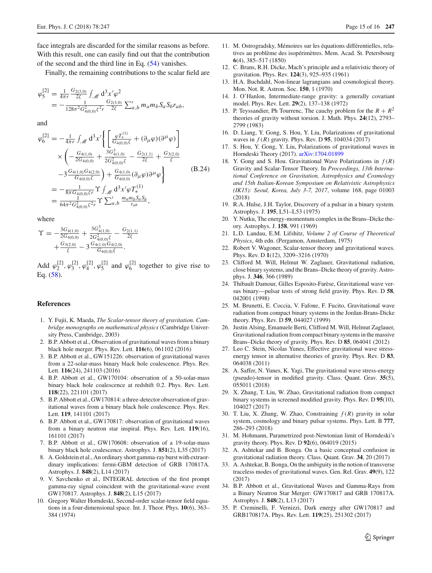face integrals are discarded for the similar reasons as before. With this result, one can easily find out that the contribution of the second and the third line in Eq. [\(54\)](#page-6-3) vanishes.

Finally, the remaining contributions to the scalar field are

$$
\begin{array}{l} \varphi^{[2]}_5 = \frac{1}{4\pi r} \frac{G_{2(3,0)}}{2\zeta} \int_{\mathscr{M}} d^3 x' \varphi^2 \\ = - \frac{1}{128\pi^2 G_{4(0,0)}^2 \zeta^2 r} \frac{G_{2(3,0)}}{2\zeta} \sum'_{a,b} m_a m_b S_a S_b r_{ab}, \end{array}
$$

and

$$
\varphi_6^{[2]} = -\frac{1}{4\pi r} \int_{\mathcal{M}} d^3 x' \left\{ \left[ \frac{\varphi T_*^{(1)}}{G_{4(0,0)}\zeta} + (\partial_\mu \varphi)(\partial^\mu \varphi) \right] \right.\times \left( -\frac{G_{4(1,0)}}{2G_{4(0,0)}} + \frac{3G_{4(1,0)}^3}{2G_{4(0,0)}^2} - \frac{G_{2(1,1)}}{2\zeta} + \frac{G_{3(2,0)}}{\zeta} \right.\left. - 3 \frac{G_{4(1,0)} G_{4(2,0)}}{G_{4(0,0)}\zeta} \right) + \frac{G_{4(1,0)}}{G_{4(0,0)}} (\partial_\mu \varphi) \partial^\mu \varphi \right\} (B.24)\n= -\frac{1}{8\pi G_{4(0,0)}\zeta r} \Upsilon \int_{\mathcal{M}} d^3 x' \varphi T_*^{(1)}\n= \frac{1}{64\pi^2 G_{4(0,0)}^2 \zeta^2 r} \Upsilon \sum_{a,b}' \frac{m_a m_b S_a S_b}{r_{ab}},
$$

where

$$
\begin{array}{l} \Upsilon = -\frac{3G_{4(1,0)}}{2G_{4(0,0)}} + \frac{3G_{4(1,0)}^3}{2G_{4(0,0)}^2\zeta} - \frac{G_{2(1,1)}}{2\zeta} \\qquad \qquad + \frac{G_{3(2,0)}}{\zeta} - 3\frac{G_{4(1,0)}G_{4(2,0)}}{G_{4(0,0)}\zeta}. \end{array}
$$

Add  $\varphi_2^{[2]}, \varphi_3^{[2]}, \varphi_4^{[2]}, \varphi_5^{[2]}$  and  $\varphi_6^{[2]}$  together to give rise to Eq. [\(58\)](#page-7-1).

# **References**

- <span id="page-14-0"></span>1. Y. Fujii, K. Maeda, *The Scalar-tensor theory of gravitation. Cambridge monographs on mathematical physics* (Cambridge University Press, Cambridge, 2003)
- <span id="page-14-1"></span>2. B.P. Abbott et al., Observation of gravitational waves from a binary black hole merger. Phys. Rev. Lett. **116**(6), 061102 (2016)
- 3. B.P. Abbott et al., GW151226: observation of gravitational waves from a 22-solar-mass binary black hole coalescence. Phys. Rev. Lett. **116**(24), 241103 (2016)
- 4. B.P. Abbott et al., GW170104: observation of a 50-solar-mass binary black hole coalescence at redshift 0.2. Phys. Rev. Lett. **118**(22), 221101 (2017)
- <span id="page-14-3"></span>5. B.P. Abbott et al., GW170814: a three-detector observation of gravitational waves from a binary black hole coalescence. Phys. Rev. Lett. **119**, 141101 (2017)
- <span id="page-14-4"></span>6. B.P. Abbott et al., GW170817: observation of gravitational waves from a binary neutron star inspiral. Phys. Rev. Lett. **119**(16), 161101 (2017)
- <span id="page-14-2"></span>7. B.P. Abbott et al., GW170608: observation of a 19-solar-mass binary black hole coalescence. Astrophys. J. **851**(2), L35 (2017)
- <span id="page-14-5"></span>8. A. Goldstein et al., An ordinary short gamma-ray burst with extraordinary implications: fermi-GBM detection of GRB 170817A. Astrophys. J. **848**(2), L14 (2017)
- <span id="page-14-6"></span>9. V. Savchenko et al., INTEGRAL detection of the first prompt gamma-ray signal coincident with the gravitational-wave event GW170817. Astrophys. J. **848**(2), L15 (2017)
- <span id="page-14-7"></span>10. Gregory Walter Horndeski, Second-order scalar-tensor field equations in a four-dimensional space. Int. J. Theor. Phys. **10**(6), 363– 384 (1974)
- <span id="page-14-8"></span>11. M. Ostrogradsky, Mémoires sur les équations différentielles, relatives au problème des isopérimètres. Mem. Acad. St. Petersbourg **6**(4), 385–517 (1850)
- <span id="page-14-9"></span>12. C. Brans, R.H. Dicke, Mach's principle and a relativistic theory of gravitation. Phys. Rev. **124**(3), 925–935 (1961)
- <span id="page-14-10"></span>13. H.A. Buchdahl, Non-linear lagrangians and cosmological theory. Mon. Not. R. Astron. Soc. **150**, 1 (1970)
- 14. J. O'Hanlon, Intermediate-range gravity: a generally covariant model. Phys. Rev. Lett. **29**(2), 137–138 (1972)
- <span id="page-14-11"></span>15. P. Teyssandier, Ph Tourrenc, The cauchy problem for the  $R + R^2$ theories of gravity without torsion. J. Math. Phys. **24**(12), 2793– 2799 (1983)
- <span id="page-14-12"></span>16. D. Liang, Y. Gong, S. Hou, Y. Liu, Polarizations of gravitational waves in *f* (*R*) gravity. Phys. Rev. D **95**, 104034 (2017)
- 17. S. Hou, Y. Gong, Y. Liu, Polarizations of gravitational waves in Horndeski Theory (2017). [arXiv:1704.01899](http://arxiv.org/abs/1704.01899)
- <span id="page-14-13"></span>18. Y. Gong and S. Hou. Gravitational Wave Polarizations in  $f(R)$ Gravity and Scalar-Tensor Theory. In *Proceedings, 13th International Conference on Gravitation, Astrophysics and Cosmology and 15th Italian-Korean Symposium on Relativistic Astrophysics (IK15): Seoul, Korea, July 3-7, 2017*, volume 168, page 01003 (2018)
- <span id="page-14-14"></span>19. R.A. Hulse, J.H. Taylor, Discovery of a pulsar in a binary system. Astrophys. J. **195**, L51–L53 (1975)
- <span id="page-14-15"></span>20. Y. Nutku, The energy-momentum complex in the Brans–Dicke theory. Astrophys. J. **158**, 991 (1969)
- <span id="page-14-16"></span>21. L.D. Landau, E.M. Lifshitz, *Volume 2 of Course of Theoretical Physics*, 4th edn. (Pergamon, Amsterdam, 1975)
- <span id="page-14-17"></span>22. Robert V. Wagoner, Scalar-tensor theory and gravitational waves. Phys. Rev. D **1**(12), 3209–3216 (1970)
- 23. Clifford M. Will, Helmut W. Zaglauer, Gravitational radiation, close binary systems, and the Brans–Dicke theory of gravity. Astrophys. J. **346**, 366 (1989)
- 24. Thibault Damour, Gilles Esposito-Farèse, Gravitational wave versus binary—pulsar tests of strong field gravity. Phys. Rev. D **58**, 042001 (1998)
- <span id="page-14-18"></span>25. M. Brunetti, E. Coccia, V. Fafone, F. Fucito, Gravitational wave radiation from compact binary systems in the Jordan-Brans-Dicke theory. Phys. Rev. D **59**, 044027 (1999)
- <span id="page-14-19"></span>26. Justin Alsing, Emanuele Berti, Clifford M. Will, Helmut Zaglauer, Gravitational radiation from compact binary systems in the massive Brans–Dicke theory of gravity. Phys. Rev. D **85**, 064041 (2012)
- <span id="page-14-20"></span>27. Leo C. Stein, Nicolas Yunes, Effective gravitational wave stressenergy tensor in alternative theories of gravity. Phys. Rev. D **83**, 064038 (2011)
- <span id="page-14-21"></span>28. A. Saffer, N. Yunes, K. Yagi, The gravitational wave stress-energy (pseudo)-tensor in modified gravity. Class. Quant. Grav. **35**(5), 055011 (2018)
- <span id="page-14-22"></span>29. X. Zhang, T. Liu, W. Zhao, Gravitational radiation from compact binary systems in screened modified gravity. Phys. Rev. D **95**(10), 104027 (2017)
- <span id="page-14-23"></span>30. T. Liu, X. Zhang, W. Zhao, Constraining *f* (*R*) gravity in solar system, cosmology and binary pulsar systems. Phys. Lett. B **777**, 286–293 (2018)
- <span id="page-14-24"></span>31. M. Hohmann, Parametrized post-Newtonian limit of Horndeski's gravity theory. Phys. Rev. D **92**(6), 064019 (2015)
- <span id="page-14-25"></span>32. A. Ashtekar and B. Bonga. On a basic conceptual confusion in gravitational radiation theory. Class. Quant. Grav. **34**, 20 (2017)
- <span id="page-14-26"></span>33. A. Ashtekar, B. Bonga, On the ambiguity in the notion of transverse traceless modes of gravitational waves. Gen. Rel. Grav. **49**(9), 122 (2017)
- <span id="page-14-27"></span>34. B.P. Abbott et al., Gravitational Waves and Gamma-Rays from a Binary Neutron Star Merger: GW170817 and GRB 170817A. Astrophys. J. **848**(2), L13 (2017)
- <span id="page-14-28"></span>35. P. Creminelli, F. Vernizzi, Dark energy after GW170817 and GRB170817A. Phys. Rev. Lett. **119**(25), 251302 (2017)